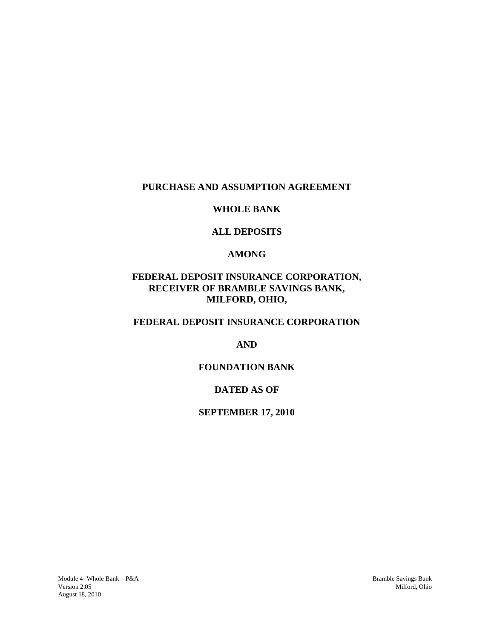#### **PURCHASE AND ASSUMPTION AGREEMENT**

#### **WHOLE BANK**

## **ALL DEPOSITS**

#### **AMONG**

## **FEDERAL DEPOSIT INSURANCE CORPORATION, RECEIVER OF BRAMBLE SAVINGS BANK, MILFORD, OHIO,**

#### **FEDERAL DEPOSIT INSURANCE CORPORATION**

#### **AND**

#### **FOUNDATION BANK**

## **DATED AS OF**

#### **SEPTEMBER 17, 2010**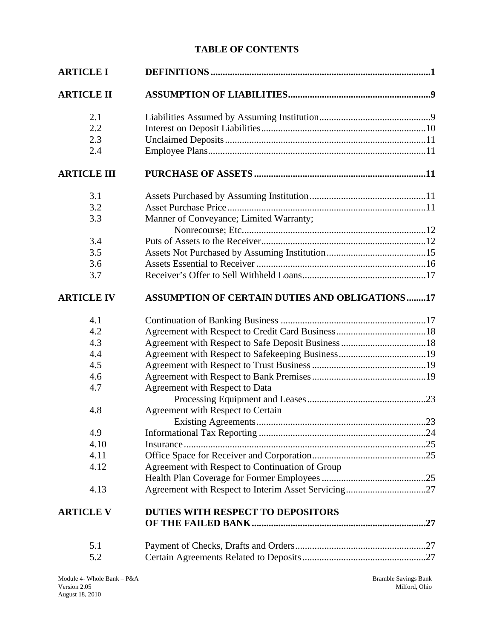# **TABLE OF CONTENTS**

| <b>ARTICLE I</b>   |                                                       |  |
|--------------------|-------------------------------------------------------|--|
| <b>ARTICLE II</b>  |                                                       |  |
| 2.1                |                                                       |  |
| 2.2                |                                                       |  |
| 2.3                |                                                       |  |
| 2.4                |                                                       |  |
| <b>ARTICLE III</b> |                                                       |  |
| 3.1                |                                                       |  |
| 3.2                |                                                       |  |
| 3.3                | Manner of Conveyance; Limited Warranty;               |  |
|                    |                                                       |  |
| 3.4                |                                                       |  |
| 3.5                |                                                       |  |
| 3.6                |                                                       |  |
| 3.7                |                                                       |  |
| <b>ARTICLE IV</b>  | <b>ASSUMPTION OF CERTAIN DUTIES AND OBLIGATIONS17</b> |  |
| 4.1                |                                                       |  |
| 4.2                |                                                       |  |
| 4.3                |                                                       |  |
| 4.4                |                                                       |  |
| 4.5                |                                                       |  |
| 4.6                |                                                       |  |
| 4.7                | Agreement with Respect to Data                        |  |
|                    |                                                       |  |
| 4.8                | Agreement with Respect to Certain                     |  |
|                    |                                                       |  |
| 4.9                |                                                       |  |
| 4.10               |                                                       |  |
| 4.11               |                                                       |  |
| 4.12               | Agreement with Respect to Continuation of Group       |  |
|                    |                                                       |  |
| 4.13               |                                                       |  |
| <b>ARTICLE V</b>   | <b>DUTIES WITH RESPECT TO DEPOSITORS</b>              |  |
| 5.1                |                                                       |  |
| 5.2                |                                                       |  |
|                    |                                                       |  |

Milford, Ohio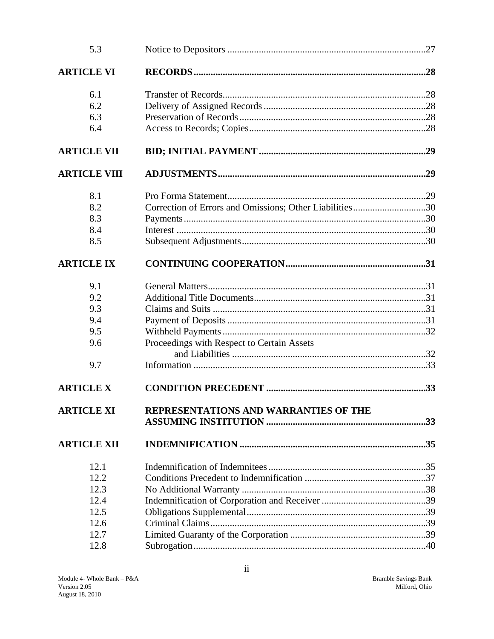| 5.3                 |                                                         |  |
|---------------------|---------------------------------------------------------|--|
| <b>ARTICLE VI</b>   |                                                         |  |
| 6.1                 |                                                         |  |
| 6.2                 |                                                         |  |
| 6.3                 |                                                         |  |
| 6.4                 |                                                         |  |
| <b>ARTICLE VII</b>  |                                                         |  |
| <b>ARTICLE VIII</b> |                                                         |  |
| 8.1                 |                                                         |  |
| 8.2                 | Correction of Errors and Omissions; Other Liabilities30 |  |
| 8.3                 |                                                         |  |
| 8.4                 |                                                         |  |
| 8.5                 |                                                         |  |
| <b>ARTICLE IX</b>   |                                                         |  |
| 9.1                 |                                                         |  |
| 9.2                 |                                                         |  |
| 9.3                 |                                                         |  |
| 9.4                 |                                                         |  |
| 9.5                 |                                                         |  |
| 9.6                 | Proceedings with Respect to Certain Assets              |  |
|                     |                                                         |  |
| 9.7                 |                                                         |  |
| <b>ARTICLE X</b>    |                                                         |  |
| <b>ARTICLE XI</b>   | REPRESENTATIONS AND WARRANTIES OF THE                   |  |
|                     |                                                         |  |
| <b>ARTICLE XII</b>  |                                                         |  |
| 12.1                |                                                         |  |
| 12.2                |                                                         |  |
| 12.3                |                                                         |  |
| 12.4                |                                                         |  |
| 12.5                |                                                         |  |
| 12.6                |                                                         |  |
| 12.7                |                                                         |  |
| 12.8                |                                                         |  |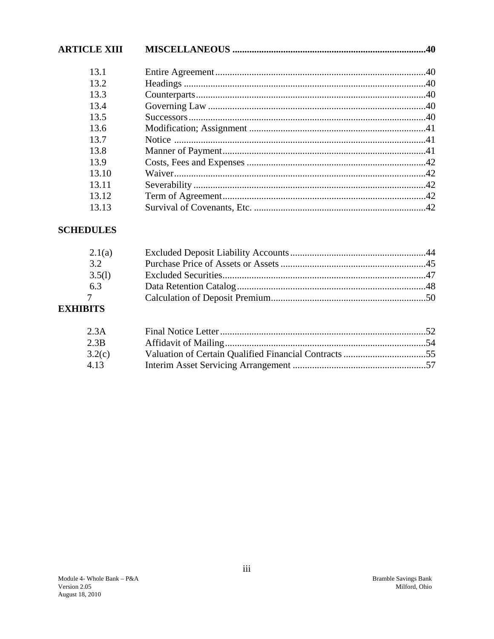| <b>ARTICLE XIII</b> |  |
|---------------------|--|
| 13.1                |  |
| 13.2.               |  |
| 13.3                |  |
| 13.4                |  |
| 13.5                |  |
| 13.6                |  |
| 13.7                |  |
| 13.8                |  |
| 13.9                |  |
| 13.10               |  |
| 13.11               |  |
| 13.12               |  |
| 13.13               |  |

## **SCHEDULES**

| 2.1(a) |  |
|--------|--|
| 3.2    |  |
| 3.5(l) |  |
| 6.3    |  |
| 7      |  |
|        |  |

# **EXHIBITS**

| 2.3A   |  |
|--------|--|
| 2.3B   |  |
| 3.2(c) |  |
| 4.13   |  |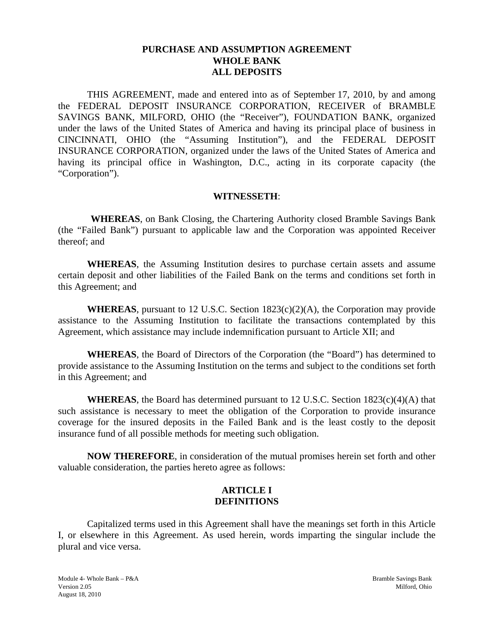#### **PURCHASE AND ASSUMPTION AGREEMENT WHOLE BANK ALL DEPOSITS**

THIS AGREEMENT, made and entered into as of September 17, 2010, by and among the FEDERAL DEPOSIT INSURANCE CORPORATION, RECEIVER of BRAMBLE SAVINGS BANK, MILFORD, OHIO (the "Receiver"), FOUNDATION BANK, organized under the laws of the United States of America and having its principal place of business in CINCINNATI, OHIO (the "Assuming Institution"), and the FEDERAL DEPOSIT INSURANCE CORPORATION, organized under the laws of the United States of America and having its principal office in Washington, D.C., acting in its corporate capacity (the "Corporation").

#### **WITNESSETH**:

**WHEREAS**, on Bank Closing, the Chartering Authority closed Bramble Savings Bank (the "Failed Bank") pursuant to applicable law and the Corporation was appointed Receiver thereof; and

**WHEREAS**, the Assuming Institution desires to purchase certain assets and assume certain deposit and other liabilities of the Failed Bank on the terms and conditions set forth in this Agreement; and

**WHEREAS**, pursuant to 12 U.S.C. Section 1823(c)(2)(A), the Corporation may provide assistance to the Assuming Institution to facilitate the transactions contemplated by this Agreement, which assistance may include indemnification pursuant to Article XII; and

**WHEREAS**, the Board of Directors of the Corporation (the "Board") has determined to provide assistance to the Assuming Institution on the terms and subject to the conditions set forth in this Agreement; and

**WHEREAS**, the Board has determined pursuant to 12 U.S.C. Section 1823(c)(4)(A) that such assistance is necessary to meet the obligation of the Corporation to provide insurance coverage for the insured deposits in the Failed Bank and is the least costly to the deposit insurance fund of all possible methods for meeting such obligation.

 **NOW THEREFORE**, in consideration of the mutual promises herein set forth and other valuable consideration, the parties hereto agree as follows:

#### **ARTICLE I DEFINITIONS**

Capitalized terms used in this Agreement shall have the meanings set forth in this Article I, or elsewhere in this Agreement. As used herein, words imparting the singular include the plural and vice versa.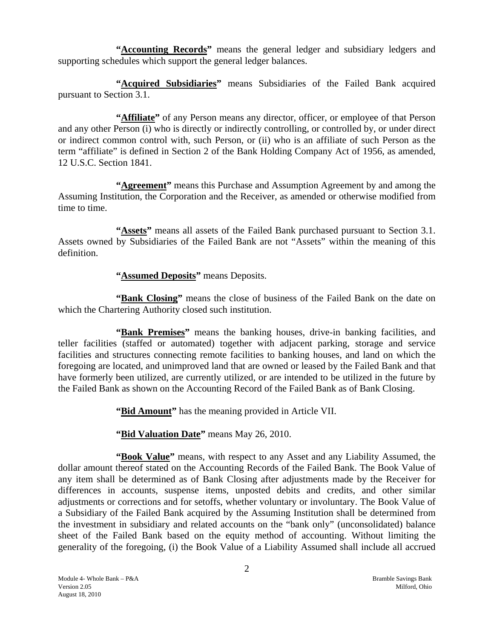**"Accounting Records"** means the general ledger and subsidiary ledgers and supporting schedules which support the general ledger balances.

**"Acquired Subsidiaries"** means Subsidiaries of the Failed Bank acquired pursuant to Section 3.1.

**"Affiliate"** of any Person means any director, officer, or employee of that Person and any other Person (i) who is directly or indirectly controlling, or controlled by, or under direct or indirect common control with, such Person, or (ii) who is an affiliate of such Person as the term "affiliate" is defined in Section 2 of the Bank Holding Company Act of 1956, as amended, 12 U.S.C. Section 1841.

**"Agreement"** means this Purchase and Assumption Agreement by and among the Assuming Institution, the Corporation and the Receiver, as amended or otherwise modified from time to time.

**"Assets"** means all assets of the Failed Bank purchased pursuant to Section 3.1. Assets owned by Subsidiaries of the Failed Bank are not "Assets" within the meaning of this definition.

**"Assumed Deposits"** means Deposits.

**"Bank Closing"** means the close of business of the Failed Bank on the date on which the Chartering Authority closed such institution.

**"Bank Premises"** means the banking houses, drive-in banking facilities, and teller facilities (staffed or automated) together with adjacent parking, storage and service facilities and structures connecting remote facilities to banking houses, and land on which the foregoing are located, and unimproved land that are owned or leased by the Failed Bank and that have formerly been utilized, are currently utilized, or are intended to be utilized in the future by the Failed Bank as shown on the Accounting Record of the Failed Bank as of Bank Closing.

**"Bid Amount"** has the meaning provided in Article VII.

**"Bid Valuation Date"** means May 26, 2010.

**"Book Value"** means, with respect to any Asset and any Liability Assumed, the dollar amount thereof stated on the Accounting Records of the Failed Bank. The Book Value of any item shall be determined as of Bank Closing after adjustments made by the Receiver for differences in accounts, suspense items, unposted debits and credits, and other similar adjustments or corrections and for setoffs, whether voluntary or involuntary. The Book Value of a Subsidiary of the Failed Bank acquired by the Assuming Institution shall be determined from the investment in subsidiary and related accounts on the "bank only" (unconsolidated) balance sheet of the Failed Bank based on the equity method of accounting. Without limiting the generality of the foregoing, (i) the Book Value of a Liability Assumed shall include all accrued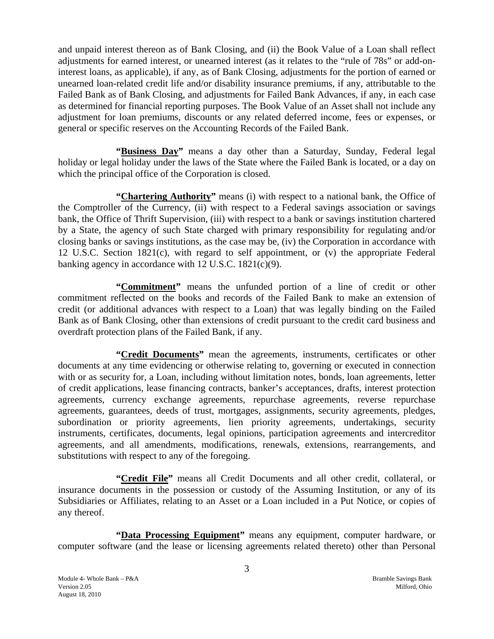and unpaid interest thereon as of Bank Closing, and (ii) the Book Value of a Loan shall reflect adjustments for earned interest, or unearned interest (as it relates to the "rule of 78s" or add-oninterest loans, as applicable), if any, as of Bank Closing, adjustments for the portion of earned or unearned loan-related credit life and/or disability insurance premiums, if any, attributable to the Failed Bank as of Bank Closing, and adjustments for Failed Bank Advances, if any, in each case as determined for financial reporting purposes. The Book Value of an Asset shall not include any adjustment for loan premiums, discounts or any related deferred income, fees or expenses, or general or specific reserves on the Accounting Records of the Failed Bank.

**"Business Day"** means a day other than a Saturday, Sunday, Federal legal holiday or legal holiday under the laws of the State where the Failed Bank is located, or a day on which the principal office of the Corporation is closed.

**"Chartering Authority"** means (i) with respect to a national bank, the Office of the Comptroller of the Currency, (ii) with respect to a Federal savings association or savings bank, the Office of Thrift Supervision, (iii) with respect to a bank or savings institution chartered by a State, the agency of such State charged with primary responsibility for regulating and/or closing banks or savings institutions, as the case may be, (iv) the Corporation in accordance with 12 U.S.C. Section 1821(c), with regard to self appointment, or (v) the appropriate Federal banking agency in accordance with 12 U.S.C. 1821(c)(9).

**"Commitment"** means the unfunded portion of a line of credit or other commitment reflected on the books and records of the Failed Bank to make an extension of credit (or additional advances with respect to a Loan) that was legally binding on the Failed Bank as of Bank Closing, other than extensions of credit pursuant to the credit card business and overdraft protection plans of the Failed Bank, if any.

**"Credit Documents"** mean the agreements, instruments, certificates or other documents at any time evidencing or otherwise relating to, governing or executed in connection with or as security for, a Loan, including without limitation notes, bonds, loan agreements, letter of credit applications, lease financing contracts, banker's acceptances, drafts, interest protection agreements, currency exchange agreements, repurchase agreements, reverse repurchase agreements, guarantees, deeds of trust, mortgages, assignments, security agreements, pledges, subordination or priority agreements, lien priority agreements, undertakings, security instruments, certificates, documents, legal opinions, participation agreements and intercreditor agreements, and all amendments, modifications, renewals, extensions, rearrangements, and substitutions with respect to any of the foregoing.

**"Credit File"** means all Credit Documents and all other credit, collateral, or insurance documents in the possession or custody of the Assuming Institution, or any of its Subsidiaries or Affiliates, relating to an Asset or a Loan included in a Put Notice, or copies of any thereof.

"Data Processing Equipment" means any equipment, computer hardware, or computer software (and the lease or licensing agreements related thereto) other than Personal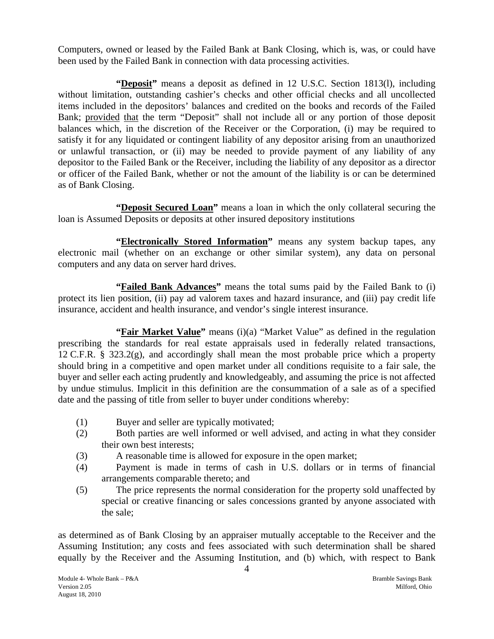Computers, owned or leased by the Failed Bank at Bank Closing, which is, was, or could have been used by the Failed Bank in connection with data processing activities.

**"Deposit"** means a deposit as defined in 12 U.S.C. Section 1813(l), including without limitation, outstanding cashier's checks and other official checks and all uncollected items included in the depositors' balances and credited on the books and records of the Failed Bank; provided that the term "Deposit" shall not include all or any portion of those deposit balances which, in the discretion of the Receiver or the Corporation, (i) may be required to satisfy it for any liquidated or contingent liability of any depositor arising from an unauthorized or unlawful transaction, or (ii) may be needed to provide payment of any liability of any depositor to the Failed Bank or the Receiver, including the liability of any depositor as a director or officer of the Failed Bank, whether or not the amount of the liability is or can be determined as of Bank Closing.

**"Deposit Secured Loan"** means a loan in which the only collateral securing the loan is Assumed Deposits or deposits at other insured depository institutions

**"Electronically Stored Information"** means any system backup tapes, any electronic mail (whether on an exchange or other similar system), any data on personal computers and any data on server hard drives.

**"Failed Bank Advances"** means the total sums paid by the Failed Bank to (i) protect its lien position, (ii) pay ad valorem taxes and hazard insurance, and (iii) pay credit life insurance, accident and health insurance, and vendor's single interest insurance.

"**Fair Market Value**" means (i)(a) "Market Value" as defined in the regulation prescribing the standards for real estate appraisals used in federally related transactions, 12 C.F.R. § 323.2(g), and accordingly shall mean the most probable price which a property should bring in a competitive and open market under all conditions requisite to a fair sale, the buyer and seller each acting prudently and knowledgeably, and assuming the price is not affected by undue stimulus. Implicit in this definition are the consummation of a sale as of a specified date and the passing of title from seller to buyer under conditions whereby:

- (1) Buyer and seller are typically motivated;
- (2) Both parties are well informed or well advised, and acting in what they consider their own best interests;
- (3) A reasonable time is allowed for exposure in the open market;
- (4) Payment is made in terms of cash in U.S. dollars or in terms of financial arrangements comparable thereto; and
- (5) The price represents the normal consideration for the property sold unaffected by special or creative financing or sales concessions granted by anyone associated with the sale;

as determined as of Bank Closing by an appraiser mutually acceptable to the Receiver and the Assuming Institution; any costs and fees associated with such determination shall be shared equally by the Receiver and the Assuming Institution, and (b) which, with respect to Bank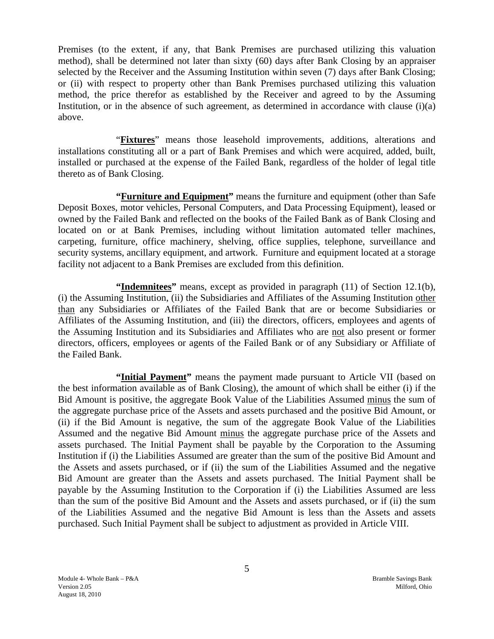Premises (to the extent, if any, that Bank Premises are purchased utilizing this valuation method), shall be determined not later than sixty (60) days after Bank Closing by an appraiser selected by the Receiver and the Assuming Institution within seven (7) days after Bank Closing; or (ii) with respect to property other than Bank Premises purchased utilizing this valuation method, the price therefor as established by the Receiver and agreed to by the Assuming Institution, or in the absence of such agreement, as determined in accordance with clause  $(i)(a)$ above.

"**Fixtures**" means those leasehold improvements, additions, alterations and installations constituting all or a part of Bank Premises and which were acquired, added, built, installed or purchased at the expense of the Failed Bank, regardless of the holder of legal title thereto as of Bank Closing.

**"Furniture and Equipment"** means the furniture and equipment (other than Safe Deposit Boxes, motor vehicles, Personal Computers, and Data Processing Equipment), leased or owned by the Failed Bank and reflected on the books of the Failed Bank as of Bank Closing and located on or at Bank Premises, including without limitation automated teller machines, carpeting, furniture, office machinery, shelving, office supplies, telephone, surveillance and security systems, ancillary equipment, and artwork. Furniture and equipment located at a storage facility not adjacent to a Bank Premises are excluded from this definition.

**"Indemnitees"** means, except as provided in paragraph (11) of Section 12.1(b), (i) the Assuming Institution, (ii) the Subsidiaries and Affiliates of the Assuming Institution other than any Subsidiaries or Affiliates of the Failed Bank that are or become Subsidiaries or Affiliates of the Assuming Institution, and (iii) the directors, officers, employees and agents of the Assuming Institution and its Subsidiaries and Affiliates who are not also present or former directors, officers, employees or agents of the Failed Bank or of any Subsidiary or Affiliate of the Failed Bank.

**"Initial Payment"** means the payment made pursuant to Article VII (based on the best information available as of Bank Closing), the amount of which shall be either (i) if the Bid Amount is positive, the aggregate Book Value of the Liabilities Assumed minus the sum of the aggregate purchase price of the Assets and assets purchased and the positive Bid Amount, or (ii) if the Bid Amount is negative, the sum of the aggregate Book Value of the Liabilities Assumed and the negative Bid Amount minus the aggregate purchase price of the Assets and assets purchased. The Initial Payment shall be payable by the Corporation to the Assuming Institution if (i) the Liabilities Assumed are greater than the sum of the positive Bid Amount and the Assets and assets purchased, or if (ii) the sum of the Liabilities Assumed and the negative Bid Amount are greater than the Assets and assets purchased. The Initial Payment shall be payable by the Assuming Institution to the Corporation if (i) the Liabilities Assumed are less than the sum of the positive Bid Amount and the Assets and assets purchased, or if (ii) the sum of the Liabilities Assumed and the negative Bid Amount is less than the Assets and assets purchased. Such Initial Payment shall be subject to adjustment as provided in Article VIII.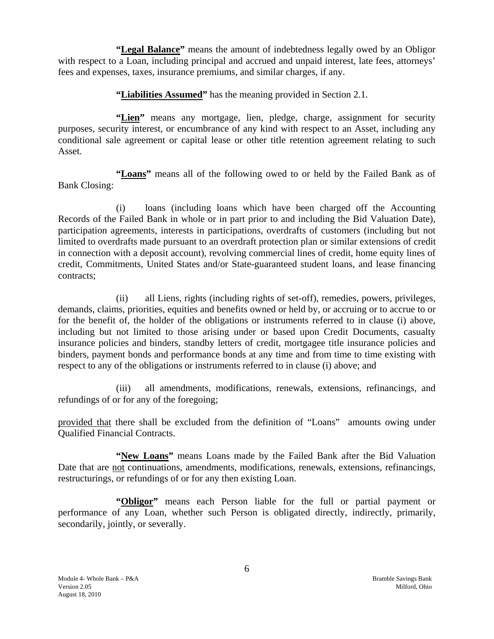**"Legal Balance"** means the amount of indebtedness legally owed by an Obligor with respect to a Loan, including principal and accrued and unpaid interest, late fees, attorneys' fees and expenses, taxes, insurance premiums, and similar charges, if any.

**"Liabilities Assumed"** has the meaning provided in Section 2.1.

**"Lien"** means any mortgage, lien, pledge, charge, assignment for security purposes, security interest, or encumbrance of any kind with respect to an Asset, including any conditional sale agreement or capital lease or other title retention agreement relating to such Asset.

**"Loans"** means all of the following owed to or held by the Failed Bank as of Bank Closing:

(i) loans (including loans which have been charged off the Accounting Records of the Failed Bank in whole or in part prior to and including the Bid Valuation Date), participation agreements, interests in participations, overdrafts of customers (including but not limited to overdrafts made pursuant to an overdraft protection plan or similar extensions of credit in connection with a deposit account), revolving commercial lines of credit, home equity lines of credit, Commitments, United States and/or State-guaranteed student loans, and lease financing contracts;

(ii) all Liens, rights (including rights of set-off), remedies, powers, privileges, demands, claims, priorities, equities and benefits owned or held by, or accruing or to accrue to or for the benefit of, the holder of the obligations or instruments referred to in clause (i) above, including but not limited to those arising under or based upon Credit Documents, casualty insurance policies and binders, standby letters of credit, mortgagee title insurance policies and binders, payment bonds and performance bonds at any time and from time to time existing with respect to any of the obligations or instruments referred to in clause (i) above; and

(iii) all amendments, modifications, renewals, extensions, refinancings, and refundings of or for any of the foregoing;

provided that there shall be excluded from the definition of "Loans" amounts owing under Qualified Financial Contracts.

**"New Loans"** means Loans made by the Failed Bank after the Bid Valuation Date that are not continuations, amendments, modifications, renewals, extensions, refinancings, restructurings, or refundings of or for any then existing Loan.

"Obligor" means each Person liable for the full or partial payment or performance of any Loan, whether such Person is obligated directly, indirectly, primarily, secondarily, jointly, or severally.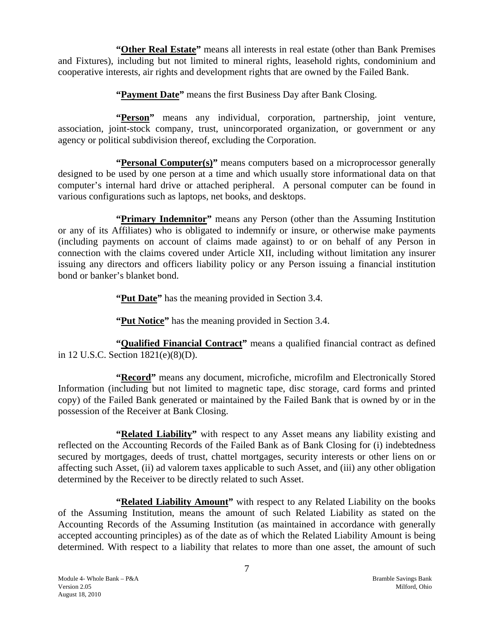**"Other Real Estate"** means all interests in real estate (other than Bank Premises and Fixtures), including but not limited to mineral rights, leasehold rights, condominium and cooperative interests, air rights and development rights that are owned by the Failed Bank.

**"Payment Date"** means the first Business Day after Bank Closing.

**"Person"** means any individual, corporation, partnership, joint venture, association, joint-stock company, trust, unincorporated organization, or government or any agency or political subdivision thereof, excluding the Corporation.

**"Personal Computer(s)"** means computers based on a microprocessor generally designed to be used by one person at a time and which usually store informational data on that computer's internal hard drive or attached peripheral. A personal computer can be found in various configurations such as laptops, net books, and desktops.

**"Primary Indemnitor"** means any Person (other than the Assuming Institution or any of its Affiliates) who is obligated to indemnify or insure, or otherwise make payments (including payments on account of claims made against) to or on behalf of any Person in connection with the claims covered under Article XII, including without limitation any insurer issuing any directors and officers liability policy or any Person issuing a financial institution bond or banker's blanket bond.

**"Put Date"** has the meaning provided in Section 3.4.

**"Put Notice"** has the meaning provided in Section 3.4.

"**Qualified Financial Contract**" means a qualified financial contract as defined in 12 U.S.C. Section 1821(e)(8)(D).

**"Record"** means any document, microfiche, microfilm and Electronically Stored Information (including but not limited to magnetic tape, disc storage, card forms and printed copy) of the Failed Bank generated or maintained by the Failed Bank that is owned by or in the possession of the Receiver at Bank Closing.

**"Related Liability"** with respect to any Asset means any liability existing and reflected on the Accounting Records of the Failed Bank as of Bank Closing for (i) indebtedness secured by mortgages, deeds of trust, chattel mortgages, security interests or other liens on or affecting such Asset, (ii) ad valorem taxes applicable to such Asset, and (iii) any other obligation determined by the Receiver to be directly related to such Asset.

**"Related Liability Amount"** with respect to any Related Liability on the books of the Assuming Institution, means the amount of such Related Liability as stated on the Accounting Records of the Assuming Institution (as maintained in accordance with generally accepted accounting principles) as of the date as of which the Related Liability Amount is being determined. With respect to a liability that relates to more than one asset, the amount of such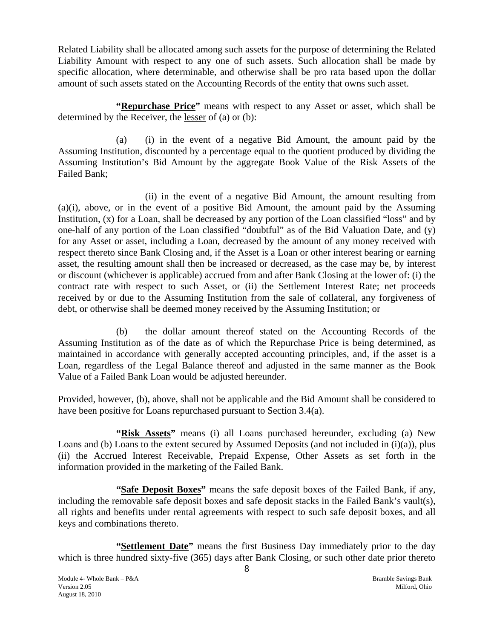Related Liability shall be allocated among such assets for the purpose of determining the Related Liability Amount with respect to any one of such assets. Such allocation shall be made by specific allocation, where determinable, and otherwise shall be pro rata based upon the dollar amount of such assets stated on the Accounting Records of the entity that owns such asset.

**"Repurchase Price"** means with respect to any Asset or asset, which shall be determined by the Receiver, the lesser of (a) or (b):

(a) (i) in the event of a negative Bid Amount, the amount paid by the Assuming Institution, discounted by a percentage equal to the quotient produced by dividing the Assuming Institution's Bid Amount by the aggregate Book Value of the Risk Assets of the Failed Bank;

(ii) in the event of a negative Bid Amount, the amount resulting from (a)(i), above, or in the event of a positive Bid Amount, the amount paid by the Assuming Institution, (x) for a Loan, shall be decreased by any portion of the Loan classified "loss" and by one-half of any portion of the Loan classified "doubtful" as of the Bid Valuation Date, and (y) for any Asset or asset, including a Loan, decreased by the amount of any money received with respect thereto since Bank Closing and, if the Asset is a Loan or other interest bearing or earning asset, the resulting amount shall then be increased or decreased, as the case may be, by interest or discount (whichever is applicable) accrued from and after Bank Closing at the lower of: (i) the contract rate with respect to such Asset, or (ii) the Settlement Interest Rate; net proceeds received by or due to the Assuming Institution from the sale of collateral, any forgiveness of debt, or otherwise shall be deemed money received by the Assuming Institution; or

(b) the dollar amount thereof stated on the Accounting Records of the Assuming Institution as of the date as of which the Repurchase Price is being determined, as maintained in accordance with generally accepted accounting principles, and, if the asset is a Loan, regardless of the Legal Balance thereof and adjusted in the same manner as the Book Value of a Failed Bank Loan would be adjusted hereunder.

Provided, however, (b), above, shall not be applicable and the Bid Amount shall be considered to have been positive for Loans repurchased pursuant to Section 3.4(a).

**"Risk Assets"** means (i) all Loans purchased hereunder, excluding (a) New Loans and (b) Loans to the extent secured by Assumed Deposits (and not included in (i)(a)), plus (ii) the Accrued Interest Receivable, Prepaid Expense, Other Assets as set forth in the information provided in the marketing of the Failed Bank.

**"Safe Deposit Boxes"** means the safe deposit boxes of the Failed Bank, if any, including the removable safe deposit boxes and safe deposit stacks in the Failed Bank's vault(s), all rights and benefits under rental agreements with respect to such safe deposit boxes, and all keys and combinations thereto.

**"Settlement Date"** means the first Business Day immediately prior to the day which is three hundred sixty-five (365) days after Bank Closing, or such other date prior thereto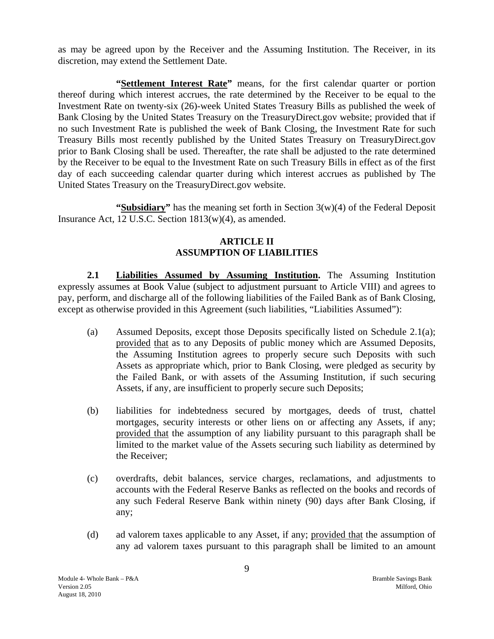<span id="page-12-0"></span>as may be agreed upon by the Receiver and the Assuming Institution. The Receiver, in its discretion, may extend the Settlement Date.

**"Settlement Interest Rate"** means, for the first calendar quarter or portion thereof during which interest accrues, the rate determined by the Receiver to be equal to the Investment Rate on twenty-six (26)-week United States Treasury Bills as published the week of Bank Closing by the United States Treasury on the TreasuryDirect.gov website; provided that if no such Investment Rate is published the week of Bank Closing, the Investment Rate for such Treasury Bills most recently published by the United States Treasury on TreasuryDirect.gov prior to Bank Closing shall be used. Thereafter, the rate shall be adjusted to the rate determined by the Receiver to be equal to the Investment Rate on such Treasury Bills in effect as of the first day of each succeeding calendar quarter during which interest accrues as published by The United States Treasury on the TreasuryDirect.gov website.

**"Subsidiary"** has the meaning set forth in Section 3(w)(4) of the Federal Deposit Insurance Act, 12 U.S.C. Section 1813(w)(4), as amended.

## **ARTICLE II ASSUMPTION OF LIABILITIES**

**2.1 Liabilities Assumed by Assuming Institution.** The Assuming Institution expressly assumes at Book Value (subject to adjustment pursuant to Article VIII) and agrees to pay, perform, and discharge all of the following liabilities of the Failed Bank as of Bank Closing, except as otherwise provided in this Agreement (such liabilities, "Liabilities Assumed"):

- (a) Assumed Deposits, except those Deposits specifically listed on Schedule 2.1(a); provided that as to any Deposits of public money which are Assumed Deposits, the Assuming Institution agrees to properly secure such Deposits with such Assets as appropriate which, prior to Bank Closing, were pledged as security by the Failed Bank, or with assets of the Assuming Institution, if such securing Assets, if any, are insufficient to properly secure such Deposits;
- (b) liabilities for indebtedness secured by mortgages, deeds of trust, chattel mortgages, security interests or other liens on or affecting any Assets, if any; provided that the assumption of any liability pursuant to this paragraph shall be limited to the market value of the Assets securing such liability as determined by the Receiver;
- (c) overdrafts, debit balances, service charges, reclamations, and adjustments to accounts with the Federal Reserve Banks as reflected on the books and records of any such Federal Reserve Bank within ninety (90) days after Bank Closing, if any;
- (d) ad valorem taxes applicable to any Asset, if any; provided that the assumption of any ad valorem taxes pursuant to this paragraph shall be limited to an amount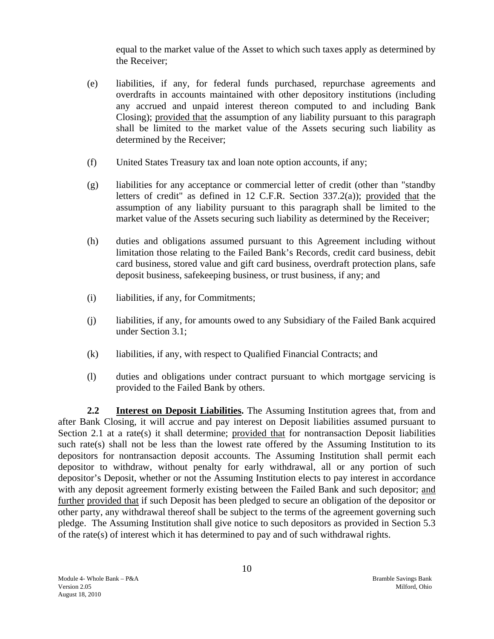equal to the market value of the Asset to which such taxes apply as determined by the Receiver;

- <span id="page-13-0"></span>(e) liabilities, if any, for federal funds purchased, repurchase agreements and overdrafts in accounts maintained with other depository institutions (including any accrued and unpaid interest thereon computed to and including Bank Closing); provided that the assumption of any liability pursuant to this paragraph shall be limited to the market value of the Assets securing such liability as determined by the Receiver;
- (f) United States Treasury tax and loan note option accounts, if any;
- (g) liabilities for any acceptance or commercial letter of credit (other than "standby letters of credit" as defined in 12 C.F.R. Section 337.2(a)); provided that the assumption of any liability pursuant to this paragraph shall be limited to the market value of the Assets securing such liability as determined by the Receiver;
- (h) duties and obligations assumed pursuant to this Agreement including without limitation those relating to the Failed Bank's Records, credit card business, debit card business, stored value and gift card business, overdraft protection plans, safe deposit business, safekeeping business, or trust business, if any; and
- (i) liabilities, if any, for Commitments;
- (j) liabilities, if any, for amounts owed to any Subsidiary of the Failed Bank acquired under Section 3.1;
- (k) liabilities, if any, with respect to Qualified Financial Contracts; and
- (l) duties and obligations under contract pursuant to which mortgage servicing is provided to the Failed Bank by others.

**2.2 Interest on Deposit Liabilities.** The Assuming Institution agrees that, from and after Bank Closing, it will accrue and pay interest on Deposit liabilities assumed pursuant to Section 2.1 at a rate(s) it shall determine; provided that for nontransaction Deposit liabilities such rate(s) shall not be less than the lowest rate offered by the Assuming Institution to its depositors for nontransaction deposit accounts. The Assuming Institution shall permit each depositor to withdraw, without penalty for early withdrawal, all or any portion of such depositor's Deposit, whether or not the Assuming Institution elects to pay interest in accordance with any deposit agreement formerly existing between the Failed Bank and such depositor; and further provided that if such Deposit has been pledged to secure an obligation of the depositor or other party, any withdrawal thereof shall be subject to the terms of the agreement governing such pledge. The Assuming Institution shall give notice to such depositors as provided in Section 5.3 of the rate(s) of interest which it has determined to pay and of such withdrawal rights.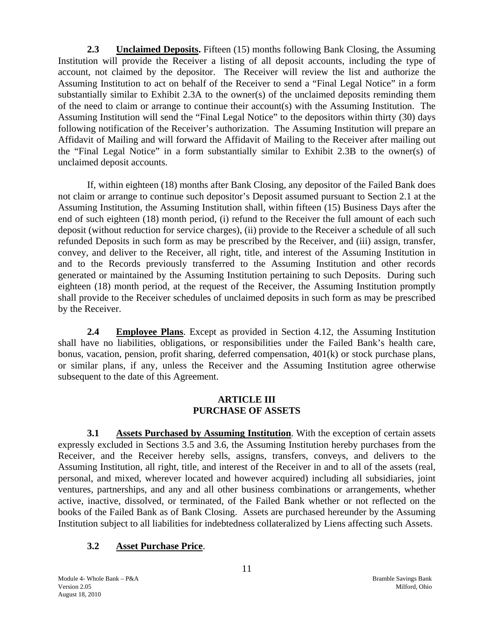<span id="page-14-0"></span> **2.3 Unclaimed Deposits.** Fifteen (15) months following Bank Closing, the Assuming Institution will provide the Receiver a listing of all deposit accounts, including the type of account, not claimed by the depositor. The Receiver will review the list and authorize the Assuming Institution to act on behalf of the Receiver to send a "Final Legal Notice" in a form substantially similar to Exhibit 2.3A to the owner(s) of the unclaimed deposits reminding them of the need to claim or arrange to continue their account(s) with the Assuming Institution. The Assuming Institution will send the "Final Legal Notice" to the depositors within thirty (30) days following notification of the Receiver's authorization. The Assuming Institution will prepare an Affidavit of Mailing and will forward the Affidavit of Mailing to the Receiver after mailing out the "Final Legal Notice" in a form substantially similar to Exhibit 2.3B to the owner(s) of unclaimed deposit accounts.

If, within eighteen (18) months after Bank Closing, any depositor of the Failed Bank does not claim or arrange to continue such depositor's Deposit assumed pursuant to Section 2.1 at the Assuming Institution, the Assuming Institution shall, within fifteen (15) Business Days after the end of such eighteen (18) month period, (i) refund to the Receiver the full amount of each such deposit (without reduction for service charges), (ii) provide to the Receiver a schedule of all such refunded Deposits in such form as may be prescribed by the Receiver, and (iii) assign, transfer, convey, and deliver to the Receiver, all right, title, and interest of the Assuming Institution in and to the Records previously transferred to the Assuming Institution and other records generated or maintained by the Assuming Institution pertaining to such Deposits. During such eighteen (18) month period, at the request of the Receiver, the Assuming Institution promptly shall provide to the Receiver schedules of unclaimed deposits in such form as may be prescribed by the Receiver.

**2.4 Employee Plans**. Except as provided in Section 4.12, the Assuming Institution shall have no liabilities, obligations, or responsibilities under the Failed Bank's health care, bonus, vacation, pension, profit sharing, deferred compensation, 401(k) or stock purchase plans, or similar plans, if any, unless the Receiver and the Assuming Institution agree otherwise subsequent to the date of this Agreement.

#### **ARTICLE III PURCHASE OF ASSETS**

 **3.1 Assets Purchased by Assuming Institution**. With the exception of certain assets expressly excluded in Sections 3.5 and 3.6, the Assuming Institution hereby purchases from the Receiver, and the Receiver hereby sells, assigns, transfers, conveys, and delivers to the Assuming Institution, all right, title, and interest of the Receiver in and to all of the assets (real, personal, and mixed, wherever located and however acquired) including all subsidiaries, joint ventures, partnerships, and any and all other business combinations or arrangements, whether active, inactive, dissolved, or terminated, of the Failed Bank whether or not reflected on the books of the Failed Bank as of Bank Closing. Assets are purchased hereunder by the Assuming Institution subject to all liabilities for indebtedness collateralized by Liens affecting such Assets.

# **3.2 Asset Purchase Price**.

Module 4- Whole Bank – P&A Bramble Savings Bank Version 2.05 Milford, Ohio August 18, 2010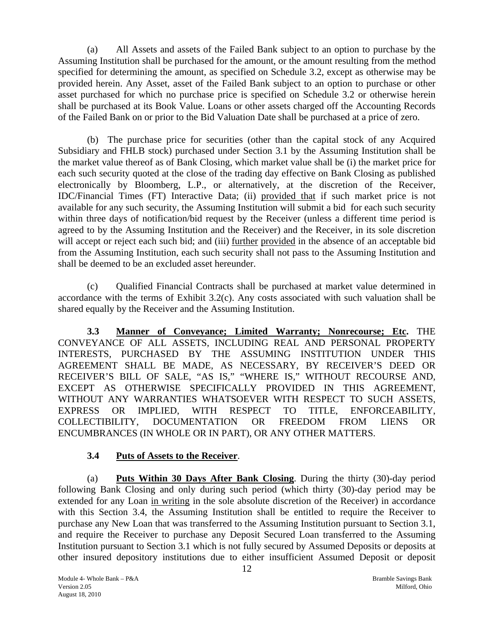<span id="page-15-0"></span>(a) All Assets and assets of the Failed Bank subject to an option to purchase by the Assuming Institution shall be purchased for the amount, or the amount resulting from the method specified for determining the amount, as specified on Schedule 3.2, except as otherwise may be provided herein. Any Asset, asset of the Failed Bank subject to an option to purchase or other asset purchased for which no purchase price is specified on Schedule 3.2 or otherwise herein shall be purchased at its Book Value. Loans or other assets charged off the Accounting Records of the Failed Bank on or prior to the Bid Valuation Date shall be purchased at a price of zero.

(b) The purchase price for securities (other than the capital stock of any Acquired Subsidiary and FHLB stock) purchased under Section 3.1 by the Assuming Institution shall be the market value thereof as of Bank Closing, which market value shall be (i) the market price for each such security quoted at the close of the trading day effective on Bank Closing as published electronically by Bloomberg, L.P., or alternatively, at the discretion of the Receiver, IDC/Financial Times (FT) Interactive Data; (ii) provided that if such market price is not available for any such security, the Assuming Institution will submit a bid for each such security within three days of notification/bid request by the Receiver (unless a different time period is agreed to by the Assuming Institution and the Receiver) and the Receiver, in its sole discretion will accept or reject each such bid; and (iii) further provided in the absence of an acceptable bid from the Assuming Institution, each such security shall not pass to the Assuming Institution and shall be deemed to be an excluded asset hereunder.

(c) Qualified Financial Contracts shall be purchased at market value determined in accordance with the terms of Exhibit 3.2(c). Any costs associated with such valuation shall be shared equally by the Receiver and the Assuming Institution.

**3.3 Manner of Conveyance; Limited Warranty; Nonrecourse; Etc.** THE CONVEYANCE OF ALL ASSETS, INCLUDING REAL AND PERSONAL PROPERTY INTERESTS, PURCHASED BY THE ASSUMING INSTITUTION UNDER THIS AGREEMENT SHALL BE MADE, AS NECESSARY, BY RECEIVER'S DEED OR RECEIVER'S BILL OF SALE, "AS IS," "WHERE IS," WITHOUT RECOURSE AND, EXCEPT AS OTHERWISE SPECIFICALLY PROVIDED IN THIS AGREEMENT, WITHOUT ANY WARRANTIES WHATSOEVER WITH RESPECT TO SUCH ASSETS, EXPRESS OR IMPLIED, WITH RESPECT TO TITLE, ENFORCEABILITY, COLLECTIBILITY, DOCUMENTATION OR FREEDOM FROM LIENS OR ENCUMBRANCES (IN WHOLE OR IN PART), OR ANY OTHER MATTERS.

# **3.4 Puts of Assets to the Receiver**.

(a) **Puts Within 30 Days After Bank Closing**. During the thirty (30)-day period following Bank Closing and only during such period (which thirty (30)-day period may be extended for any Loan in writing in the sole absolute discretion of the Receiver) in accordance with this Section 3.4, the Assuming Institution shall be entitled to require the Receiver to purchase any New Loan that was transferred to the Assuming Institution pursuant to Section 3.1, and require the Receiver to purchase any Deposit Secured Loan transferred to the Assuming Institution pursuant to Section 3.1 which is not fully secured by Assumed Deposits or deposits at other insured depository institutions due to either insufficient Assumed Deposit or deposit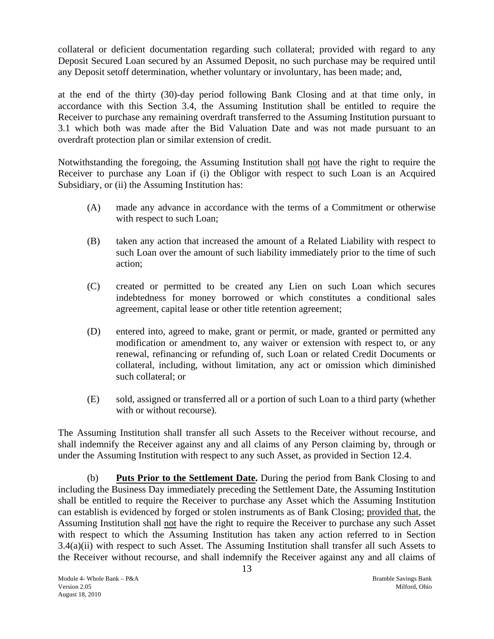collateral or deficient documentation regarding such collateral; provided with regard to any Deposit Secured Loan secured by an Assumed Deposit, no such purchase may be required until any Deposit setoff determination, whether voluntary or involuntary, has been made; and,

at the end of the thirty (30)-day period following Bank Closing and at that time only, in accordance with this Section 3.4, the Assuming Institution shall be entitled to require the Receiver to purchase any remaining overdraft transferred to the Assuming Institution pursuant to 3.1 which both was made after the Bid Valuation Date and was not made pursuant to an overdraft protection plan or similar extension of credit.

Notwithstanding the foregoing, the Assuming Institution shall not have the right to require the Receiver to purchase any Loan if (i) the Obligor with respect to such Loan is an Acquired Subsidiary, or (ii) the Assuming Institution has:

- (A) made any advance in accordance with the terms of a Commitment or otherwise with respect to such Loan;
- (B) taken any action that increased the amount of a Related Liability with respect to such Loan over the amount of such liability immediately prior to the time of such action;
- (C) created or permitted to be created any Lien on such Loan which secures indebtedness for money borrowed or which constitutes a conditional sales agreement, capital lease or other title retention agreement;
- (D) entered into, agreed to make, grant or permit, or made, granted or permitted any modification or amendment to, any waiver or extension with respect to, or any renewal, refinancing or refunding of, such Loan or related Credit Documents or collateral, including, without limitation, any act or omission which diminished such collateral; or
- (E) sold, assigned or transferred all or a portion of such Loan to a third party (whether with or without recourse).

The Assuming Institution shall transfer all such Assets to the Receiver without recourse, and shall indemnify the Receiver against any and all claims of any Person claiming by, through or under the Assuming Institution with respect to any such Asset, as provided in Section 12.4.

(b) **Puts Prior to the Settlement Date.** During the period from Bank Closing to and including the Business Day immediately preceding the Settlement Date, the Assuming Institution shall be entitled to require the Receiver to purchase any Asset which the Assuming Institution can establish is evidenced by forged or stolen instruments as of Bank Closing; provided that, the Assuming Institution shall not have the right to require the Receiver to purchase any such Asset with respect to which the Assuming Institution has taken any action referred to in Section 3.4(a)(ii) with respect to such Asset. The Assuming Institution shall transfer all such Assets to the Receiver without recourse, and shall indemnify the Receiver against any and all claims of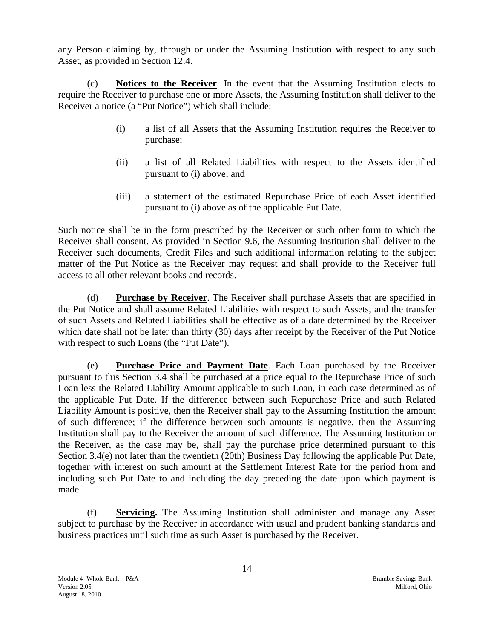any Person claiming by, through or under the Assuming Institution with respect to any such Asset, as provided in Section 12.4.

(c) **Notices to the Receiver**. In the event that the Assuming Institution elects to require the Receiver to purchase one or more Assets, the Assuming Institution shall deliver to the Receiver a notice (a "Put Notice") which shall include:

- (i) a list of all Assets that the Assuming Institution requires the Receiver to purchase;
- (ii) a list of all Related Liabilities with respect to the Assets identified pursuant to (i) above; and
- (iii) a statement of the estimated Repurchase Price of each Asset identified pursuant to (i) above as of the applicable Put Date.

Such notice shall be in the form prescribed by the Receiver or such other form to which the Receiver shall consent. As provided in Section 9.6, the Assuming Institution shall deliver to the Receiver such documents, Credit Files and such additional information relating to the subject matter of the Put Notice as the Receiver may request and shall provide to the Receiver full access to all other relevant books and records.

(d) **Purchase by Receiver**. The Receiver shall purchase Assets that are specified in the Put Notice and shall assume Related Liabilities with respect to such Assets, and the transfer of such Assets and Related Liabilities shall be effective as of a date determined by the Receiver which date shall not be later than thirty (30) days after receipt by the Receiver of the Put Notice with respect to such Loans (the "Put Date").

(e) **Purchase Price and Payment Date**. Each Loan purchased by the Receiver pursuant to this Section 3.4 shall be purchased at a price equal to the Repurchase Price of such Loan less the Related Liability Amount applicable to such Loan, in each case determined as of the applicable Put Date. If the difference between such Repurchase Price and such Related Liability Amount is positive, then the Receiver shall pay to the Assuming Institution the amount of such difference; if the difference between such amounts is negative, then the Assuming Institution shall pay to the Receiver the amount of such difference. The Assuming Institution or the Receiver, as the case may be, shall pay the purchase price determined pursuant to this Section 3.4(e) not later than the twentieth (20th) Business Day following the applicable Put Date, together with interest on such amount at the Settlement Interest Rate for the period from and including such Put Date to and including the day preceding the date upon which payment is made.

(f) **Servicing.** The Assuming Institution shall administer and manage any Asset subject to purchase by the Receiver in accordance with usual and prudent banking standards and business practices until such time as such Asset is purchased by the Receiver.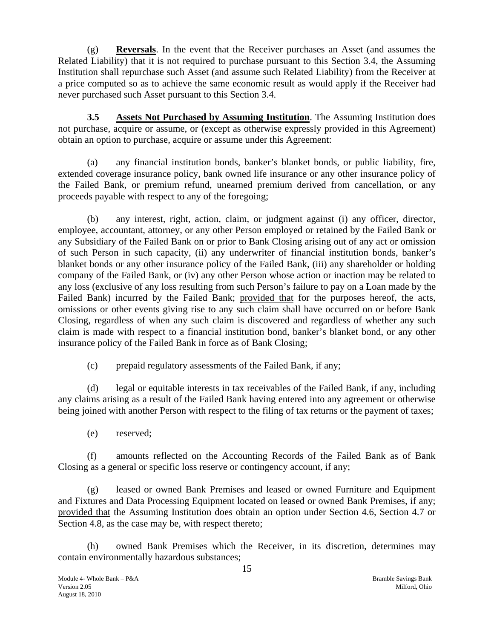(g) **Reversals**. In the event that the Receiver purchases an Asset (and assumes the Related Liability) that it is not required to purchase pursuant to this Section 3.4, the Assuming Institution shall repurchase such Asset (and assume such Related Liability) from the Receiver at a price computed so as to achieve the same economic result as would apply if the Receiver had never purchased such Asset pursuant to this Section 3.4.

**3.5 Assets Not Purchased by Assuming Institution**. The Assuming Institution does not purchase, acquire or assume, or (except as otherwise expressly provided in this Agreement) obtain an option to purchase, acquire or assume under this Agreement:

(a) any financial institution bonds, banker's blanket bonds, or public liability, fire, extended coverage insurance policy, bank owned life insurance or any other insurance policy of the Failed Bank, or premium refund, unearned premium derived from cancellation, or any proceeds payable with respect to any of the foregoing;

(b) any interest, right, action, claim, or judgment against (i) any officer, director, employee, accountant, attorney, or any other Person employed or retained by the Failed Bank or any Subsidiary of the Failed Bank on or prior to Bank Closing arising out of any act or omission of such Person in such capacity, (ii) any underwriter of financial institution bonds, banker's blanket bonds or any other insurance policy of the Failed Bank, (iii) any shareholder or holding company of the Failed Bank, or (iv) any other Person whose action or inaction may be related to any loss (exclusive of any loss resulting from such Person's failure to pay on a Loan made by the Failed Bank) incurred by the Failed Bank; provided that for the purposes hereof, the acts, omissions or other events giving rise to any such claim shall have occurred on or before Bank Closing, regardless of when any such claim is discovered and regardless of whether any such claim is made with respect to a financial institution bond, banker's blanket bond, or any other insurance policy of the Failed Bank in force as of Bank Closing;

(c) prepaid regulatory assessments of the Failed Bank, if any;

(d) legal or equitable interests in tax receivables of the Failed Bank, if any, including any claims arising as a result of the Failed Bank having entered into any agreement or otherwise being joined with another Person with respect to the filing of tax returns or the payment of taxes;

(e) reserved;

(f) amounts reflected on the Accounting Records of the Failed Bank as of Bank Closing as a general or specific loss reserve or contingency account, if any;

(g) leased or owned Bank Premises and leased or owned Furniture and Equipment and Fixtures and Data Processing Equipment located on leased or owned Bank Premises, if any; provided that the Assuming Institution does obtain an option under Section 4.6, Section 4.7 or Section 4.8, as the case may be, with respect thereto;

(h) owned Bank Premises which the Receiver, in its discretion, determines may contain environmentally hazardous substances;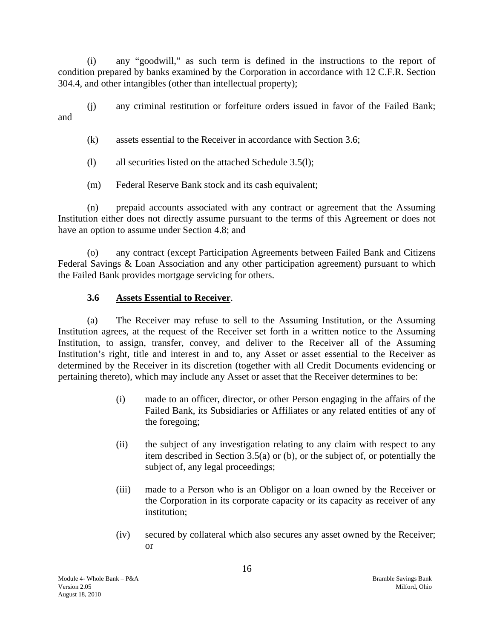(i) any "goodwill," as such term is defined in the instructions to the report of condition prepared by banks examined by the Corporation in accordance with 12 C.F.R. Section 304.4, and other intangibles (other than intellectual property);

(j) any criminal restitution or forfeiture orders issued in favor of the Failed Bank; and

- (k) assets essential to the Receiver in accordance with Section 3.6;
- (l) all securities listed on the attached Schedule 3.5(l);
- (m) Federal Reserve Bank stock and its cash equivalent;

(n) prepaid accounts associated with any contract or agreement that the Assuming Institution either does not directly assume pursuant to the terms of this Agreement or does not have an option to assume under Section 4.8; and

(o) any contract (except Participation Agreements between Failed Bank and Citizens Federal Savings & Loan Association and any other participation agreement) pursuant to which the Failed Bank provides mortgage servicing for others.

## **3.6 Assets Essential to Receiver**.

(a) The Receiver may refuse to sell to the Assuming Institution, or the Assuming Institution agrees, at the request of the Receiver set forth in a written notice to the Assuming Institution, to assign, transfer, convey, and deliver to the Receiver all of the Assuming Institution's right, title and interest in and to, any Asset or asset essential to the Receiver as determined by the Receiver in its discretion (together with all Credit Documents evidencing or pertaining thereto), which may include any Asset or asset that the Receiver determines to be:

- (i) made to an officer, director, or other Person engaging in the affairs of the Failed Bank, its Subsidiaries or Affiliates or any related entities of any of the foregoing;
- (ii) the subject of any investigation relating to any claim with respect to any item described in Section 3.5(a) or (b), or the subject of, or potentially the subject of, any legal proceedings;
- (iii) made to a Person who is an Obligor on a loan owned by the Receiver or the Corporation in its corporate capacity or its capacity as receiver of any institution;
- (iv) secured by collateral which also secures any asset owned by the Receiver; or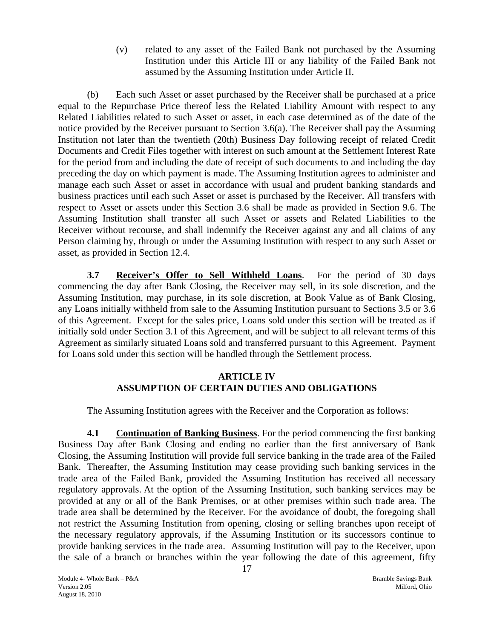(v) related to any asset of the Failed Bank not purchased by the Assuming Institution under this Article III or any liability of the Failed Bank not assumed by the Assuming Institution under Article II.

<span id="page-20-0"></span>(b) Each such Asset or asset purchased by the Receiver shall be purchased at a price equal to the Repurchase Price thereof less the Related Liability Amount with respect to any Related Liabilities related to such Asset or asset, in each case determined as of the date of the notice provided by the Receiver pursuant to Section 3.6(a). The Receiver shall pay the Assuming Institution not later than the twentieth (20th) Business Day following receipt of related Credit Documents and Credit Files together with interest on such amount at the Settlement Interest Rate for the period from and including the date of receipt of such documents to and including the day preceding the day on which payment is made. The Assuming Institution agrees to administer and manage each such Asset or asset in accordance with usual and prudent banking standards and business practices until each such Asset or asset is purchased by the Receiver. All transfers with respect to Asset or assets under this Section 3.6 shall be made as provided in Section 9.6. The Assuming Institution shall transfer all such Asset or assets and Related Liabilities to the Receiver without recourse, and shall indemnify the Receiver against any and all claims of any Person claiming by, through or under the Assuming Institution with respect to any such Asset or asset, as provided in Section 12.4.

**3.7 Receiver's Offer to Sell Withheld Loans**. For the period of 30 days commencing the day after Bank Closing, the Receiver may sell, in its sole discretion, and the Assuming Institution, may purchase, in its sole discretion, at Book Value as of Bank Closing, any Loans initially withheld from sale to the Assuming Institution pursuant to Sections 3.5 or 3.6 of this Agreement. Except for the sales price, Loans sold under this section will be treated as if initially sold under Section 3.1 of this Agreement, and will be subject to all relevant terms of this Agreement as similarly situated Loans sold and transferred pursuant to this Agreement. Payment for Loans sold under this section will be handled through the Settlement process.

## **ARTICLE IV ASSUMPTION OF CERTAIN DUTIES AND OBLIGATIONS**

The Assuming Institution agrees with the Receiver and the Corporation as follows:

**4.1 Continuation of Banking Business**. For the period commencing the first banking Business Day after Bank Closing and ending no earlier than the first anniversary of Bank Closing, the Assuming Institution will provide full service banking in the trade area of the Failed Bank. Thereafter, the Assuming Institution may cease providing such banking services in the trade area of the Failed Bank, provided the Assuming Institution has received all necessary regulatory approvals. At the option of the Assuming Institution, such banking services may be provided at any or all of the Bank Premises, or at other premises within such trade area. The trade area shall be determined by the Receiver. For the avoidance of doubt, the foregoing shall not restrict the Assuming Institution from opening, closing or selling branches upon receipt of the necessary regulatory approvals, if the Assuming Institution or its successors continue to provide banking services in the trade area. Assuming Institution will pay to the Receiver, upon the sale of a branch or branches within the year following the date of this agreement, fifty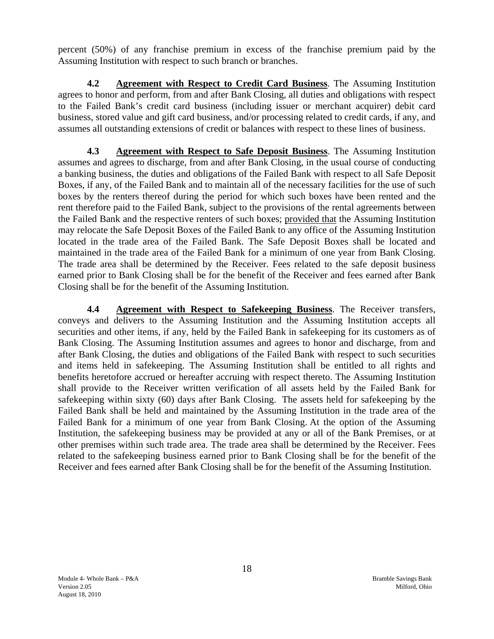<span id="page-21-0"></span>percent (50%) of any franchise premium in excess of the franchise premium paid by the Assuming Institution with respect to such branch or branches.

**4.2 Agreement with Respect to Credit Card Business**. The Assuming Institution agrees to honor and perform, from and after Bank Closing, all duties and obligations with respect to the Failed Bank's credit card business (including issuer or merchant acquirer) debit card business, stored value and gift card business, and/or processing related to credit cards, if any, and assumes all outstanding extensions of credit or balances with respect to these lines of business.

**4.3 Agreement with Respect to Safe Deposit Business**. The Assuming Institution assumes and agrees to discharge, from and after Bank Closing, in the usual course of conducting a banking business, the duties and obligations of the Failed Bank with respect to all Safe Deposit Boxes, if any, of the Failed Bank and to maintain all of the necessary facilities for the use of such boxes by the renters thereof during the period for which such boxes have been rented and the rent therefore paid to the Failed Bank, subject to the provisions of the rental agreements between the Failed Bank and the respective renters of such boxes; provided that the Assuming Institution may relocate the Safe Deposit Boxes of the Failed Bank to any office of the Assuming Institution located in the trade area of the Failed Bank. The Safe Deposit Boxes shall be located and maintained in the trade area of the Failed Bank for a minimum of one year from Bank Closing. The trade area shall be determined by the Receiver. Fees related to the safe deposit business earned prior to Bank Closing shall be for the benefit of the Receiver and fees earned after Bank Closing shall be for the benefit of the Assuming Institution.

**4.4 Agreement with Respect to Safekeeping Business**. The Receiver transfers, conveys and delivers to the Assuming Institution and the Assuming Institution accepts all securities and other items, if any, held by the Failed Bank in safekeeping for its customers as of Bank Closing. The Assuming Institution assumes and agrees to honor and discharge, from and after Bank Closing, the duties and obligations of the Failed Bank with respect to such securities and items held in safekeeping. The Assuming Institution shall be entitled to all rights and benefits heretofore accrued or hereafter accruing with respect thereto. The Assuming Institution shall provide to the Receiver written verification of all assets held by the Failed Bank for safekeeping within sixty (60) days after Bank Closing. The assets held for safekeeping by the Failed Bank shall be held and maintained by the Assuming Institution in the trade area of the Failed Bank for a minimum of one year from Bank Closing. At the option of the Assuming Institution, the safekeeping business may be provided at any or all of the Bank Premises, or at other premises within such trade area. The trade area shall be determined by the Receiver. Fees related to the safekeeping business earned prior to Bank Closing shall be for the benefit of the Receiver and fees earned after Bank Closing shall be for the benefit of the Assuming Institution.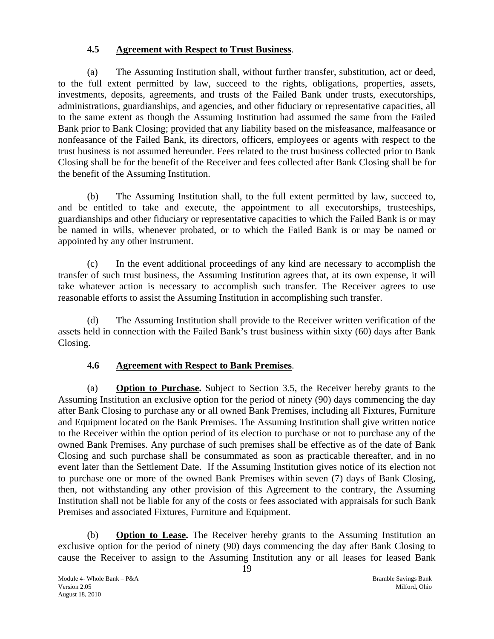## **4.5 Agreement with Respect to Trust Business**.

<span id="page-22-0"></span>(a) The Assuming Institution shall, without further transfer, substitution, act or deed, to the full extent permitted by law, succeed to the rights, obligations, properties, assets, investments, deposits, agreements, and trusts of the Failed Bank under trusts, executorships, administrations, guardianships, and agencies, and other fiduciary or representative capacities, all to the same extent as though the Assuming Institution had assumed the same from the Failed Bank prior to Bank Closing; provided that any liability based on the misfeasance, malfeasance or nonfeasance of the Failed Bank, its directors, officers, employees or agents with respect to the trust business is not assumed hereunder. Fees related to the trust business collected prior to Bank Closing shall be for the benefit of the Receiver and fees collected after Bank Closing shall be for the benefit of the Assuming Institution.

(b) The Assuming Institution shall, to the full extent permitted by law, succeed to, and be entitled to take and execute, the appointment to all executorships, trusteeships, guardianships and other fiduciary or representative capacities to which the Failed Bank is or may be named in wills, whenever probated, or to which the Failed Bank is or may be named or appointed by any other instrument.

(c) In the event additional proceedings of any kind are necessary to accomplish the transfer of such trust business, the Assuming Institution agrees that, at its own expense, it will take whatever action is necessary to accomplish such transfer. The Receiver agrees to use reasonable efforts to assist the Assuming Institution in accomplishing such transfer.

(d) The Assuming Institution shall provide to the Receiver written verification of the assets held in connection with the Failed Bank's trust business within sixty (60) days after Bank Closing.

# **4.6 Agreement with Respect to Bank Premises**.

(a) **Option to Purchase.** Subject to Section 3.5, the Receiver hereby grants to the Assuming Institution an exclusive option for the period of ninety (90) days commencing the day after Bank Closing to purchase any or all owned Bank Premises, including all Fixtures, Furniture and Equipment located on the Bank Premises. The Assuming Institution shall give written notice to the Receiver within the option period of its election to purchase or not to purchase any of the owned Bank Premises. Any purchase of such premises shall be effective as of the date of Bank Closing and such purchase shall be consummated as soon as practicable thereafter, and in no event later than the Settlement Date. If the Assuming Institution gives notice of its election not to purchase one or more of the owned Bank Premises within seven (7) days of Bank Closing, then, not withstanding any other provision of this Agreement to the contrary, the Assuming Institution shall not be liable for any of the costs or fees associated with appraisals for such Bank Premises and associated Fixtures, Furniture and Equipment.

(b) **Option to Lease.** The Receiver hereby grants to the Assuming Institution an exclusive option for the period of ninety (90) days commencing the day after Bank Closing to cause the Receiver to assign to the Assuming Institution any or all leases for leased Bank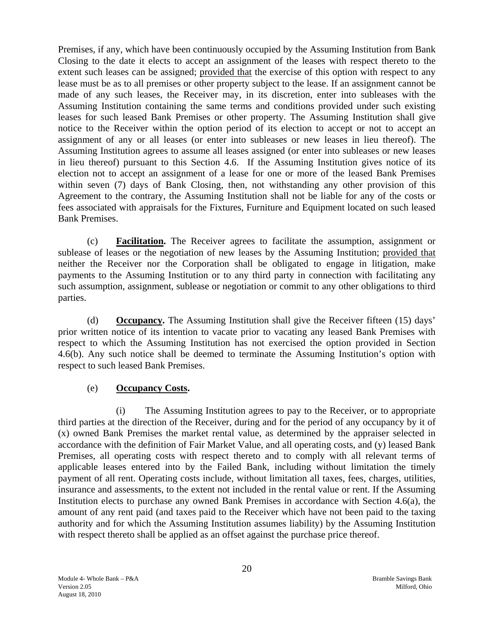Premises, if any, which have been continuously occupied by the Assuming Institution from Bank Closing to the date it elects to accept an assignment of the leases with respect thereto to the extent such leases can be assigned; provided that the exercise of this option with respect to any lease must be as to all premises or other property subject to the lease. If an assignment cannot be made of any such leases, the Receiver may, in its discretion, enter into subleases with the Assuming Institution containing the same terms and conditions provided under such existing leases for such leased Bank Premises or other property. The Assuming Institution shall give notice to the Receiver within the option period of its election to accept or not to accept an assignment of any or all leases (or enter into subleases or new leases in lieu thereof). The Assuming Institution agrees to assume all leases assigned (or enter into subleases or new leases in lieu thereof) pursuant to this Section 4.6. If the Assuming Institution gives notice of its election not to accept an assignment of a lease for one or more of the leased Bank Premises within seven (7) days of Bank Closing, then, not withstanding any other provision of this Agreement to the contrary, the Assuming Institution shall not be liable for any of the costs or fees associated with appraisals for the Fixtures, Furniture and Equipment located on such leased Bank Premises.

(c) **Facilitation.** The Receiver agrees to facilitate the assumption, assignment or sublease of leases or the negotiation of new leases by the Assuming Institution; provided that neither the Receiver nor the Corporation shall be obligated to engage in litigation, make payments to the Assuming Institution or to any third party in connection with facilitating any such assumption, assignment, sublease or negotiation or commit to any other obligations to third parties.

(d) **Occupancy.** The Assuming Institution shall give the Receiver fifteen (15) days' prior written notice of its intention to vacate prior to vacating any leased Bank Premises with respect to which the Assuming Institution has not exercised the option provided in Section 4.6(b). Any such notice shall be deemed to terminate the Assuming Institution's option with respect to such leased Bank Premises.

## (e) **Occupancy Costs.**

(i) The Assuming Institution agrees to pay to the Receiver, or to appropriate third parties at the direction of the Receiver, during and for the period of any occupancy by it of (x) owned Bank Premises the market rental value, as determined by the appraiser selected in accordance with the definition of Fair Market Value, and all operating costs, and (y) leased Bank Premises, all operating costs with respect thereto and to comply with all relevant terms of applicable leases entered into by the Failed Bank, including without limitation the timely payment of all rent. Operating costs include, without limitation all taxes, fees, charges, utilities, insurance and assessments, to the extent not included in the rental value or rent. If the Assuming Institution elects to purchase any owned Bank Premises in accordance with Section 4.6(a), the amount of any rent paid (and taxes paid to the Receiver which have not been paid to the taxing authority and for which the Assuming Institution assumes liability) by the Assuming Institution with respect thereto shall be applied as an offset against the purchase price thereof.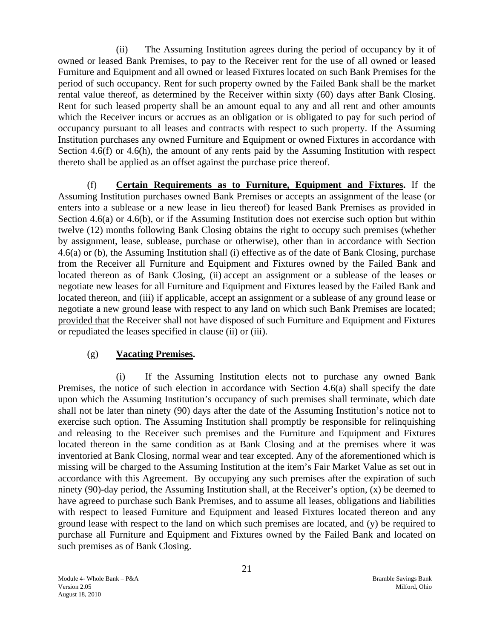(ii) The Assuming Institution agrees during the period of occupancy by it of owned or leased Bank Premises, to pay to the Receiver rent for the use of all owned or leased Furniture and Equipment and all owned or leased Fixtures located on such Bank Premises for the period of such occupancy. Rent for such property owned by the Failed Bank shall be the market rental value thereof, as determined by the Receiver within sixty (60) days after Bank Closing. Rent for such leased property shall be an amount equal to any and all rent and other amounts which the Receiver incurs or accrues as an obligation or is obligated to pay for such period of occupancy pursuant to all leases and contracts with respect to such property. If the Assuming Institution purchases any owned Furniture and Equipment or owned Fixtures in accordance with Section 4.6(f) or 4.6(h), the amount of any rents paid by the Assuming Institution with respect thereto shall be applied as an offset against the purchase price thereof.

(f) **Certain Requirements as to Furniture, Equipment and Fixtures.** If the Assuming Institution purchases owned Bank Premises or accepts an assignment of the lease (or enters into a sublease or a new lease in lieu thereof) for leased Bank Premises as provided in Section 4.6(a) or 4.6(b), or if the Assuming Institution does not exercise such option but within twelve (12) months following Bank Closing obtains the right to occupy such premises (whether by assignment, lease, sublease, purchase or otherwise), other than in accordance with Section 4.6(a) or (b), the Assuming Institution shall (i) effective as of the date of Bank Closing, purchase from the Receiver all Furniture and Equipment and Fixtures owned by the Failed Bank and located thereon as of Bank Closing, (ii) accept an assignment or a sublease of the leases or negotiate new leases for all Furniture and Equipment and Fixtures leased by the Failed Bank and located thereon, and (iii) if applicable, accept an assignment or a sublease of any ground lease or negotiate a new ground lease with respect to any land on which such Bank Premises are located; provided that the Receiver shall not have disposed of such Furniture and Equipment and Fixtures or repudiated the leases specified in clause (ii) or (iii).

## (g) **Vacating Premises.**

(i) If the Assuming Institution elects not to purchase any owned Bank Premises, the notice of such election in accordance with Section 4.6(a) shall specify the date upon which the Assuming Institution's occupancy of such premises shall terminate, which date shall not be later than ninety (90) days after the date of the Assuming Institution's notice not to exercise such option. The Assuming Institution shall promptly be responsible for relinquishing and releasing to the Receiver such premises and the Furniture and Equipment and Fixtures located thereon in the same condition as at Bank Closing and at the premises where it was inventoried at Bank Closing, normal wear and tear excepted. Any of the aforementioned which is missing will be charged to the Assuming Institution at the item's Fair Market Value as set out in accordance with this Agreement. By occupying any such premises after the expiration of such ninety (90)-day period, the Assuming Institution shall, at the Receiver's option, (x) be deemed to have agreed to purchase such Bank Premises, and to assume all leases, obligations and liabilities with respect to leased Furniture and Equipment and leased Fixtures located thereon and any ground lease with respect to the land on which such premises are located, and (y) be required to purchase all Furniture and Equipment and Fixtures owned by the Failed Bank and located on such premises as of Bank Closing.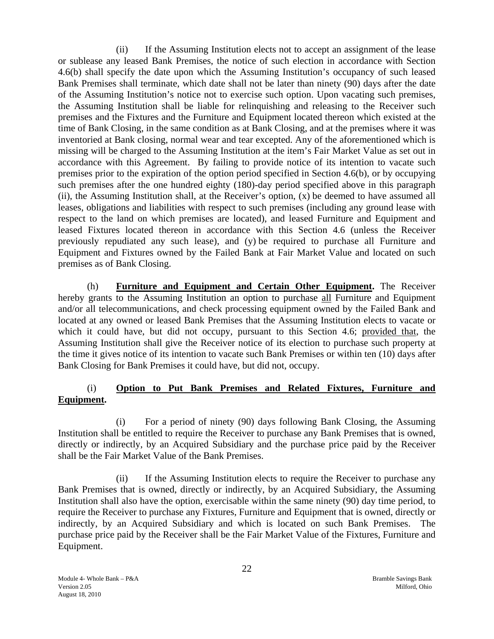(ii) If the Assuming Institution elects not to accept an assignment of the lease or sublease any leased Bank Premises, the notice of such election in accordance with Section 4.6(b) shall specify the date upon which the Assuming Institution's occupancy of such leased Bank Premises shall terminate, which date shall not be later than ninety (90) days after the date of the Assuming Institution's notice not to exercise such option. Upon vacating such premises, the Assuming Institution shall be liable for relinquishing and releasing to the Receiver such premises and the Fixtures and the Furniture and Equipment located thereon which existed at the time of Bank Closing, in the same condition as at Bank Closing, and at the premises where it was inventoried at Bank closing, normal wear and tear excepted. Any of the aforementioned which is missing will be charged to the Assuming Institution at the item's Fair Market Value as set out in accordance with this Agreement. By failing to provide notice of its intention to vacate such premises prior to the expiration of the option period specified in Section 4.6(b), or by occupying such premises after the one hundred eighty (180)-day period specified above in this paragraph (ii), the Assuming Institution shall, at the Receiver's option, (x) be deemed to have assumed all leases, obligations and liabilities with respect to such premises (including any ground lease with respect to the land on which premises are located), and leased Furniture and Equipment and leased Fixtures located thereon in accordance with this Section 4.6 (unless the Receiver previously repudiated any such lease), and (y) be required to purchase all Furniture and Equipment and Fixtures owned by the Failed Bank at Fair Market Value and located on such premises as of Bank Closing.

(h) **Furniture and Equipment and Certain Other Equipment.** The Receiver hereby grants to the Assuming Institution an option to purchase all Furniture and Equipment and/or all telecommunications, and check processing equipment owned by the Failed Bank and located at any owned or leased Bank Premises that the Assuming Institution elects to vacate or which it could have, but did not occupy, pursuant to this Section 4.6; provided that, the Assuming Institution shall give the Receiver notice of its election to purchase such property at the time it gives notice of its intention to vacate such Bank Premises or within ten (10) days after Bank Closing for Bank Premises it could have, but did not, occupy.

## (i) **Option to Put Bank Premises and Related Fixtures, Furniture and Equipment.**

(i) For a period of ninety (90) days following Bank Closing, the Assuming Institution shall be entitled to require the Receiver to purchase any Bank Premises that is owned, directly or indirectly, by an Acquired Subsidiary and the purchase price paid by the Receiver shall be the Fair Market Value of the Bank Premises.

(ii) If the Assuming Institution elects to require the Receiver to purchase any Bank Premises that is owned, directly or indirectly, by an Acquired Subsidiary, the Assuming Institution shall also have the option, exercisable within the same ninety (90) day time period, to require the Receiver to purchase any Fixtures, Furniture and Equipment that is owned, directly or indirectly, by an Acquired Subsidiary and which is located on such Bank Premises. The purchase price paid by the Receiver shall be the Fair Market Value of the Fixtures, Furniture and Equipment.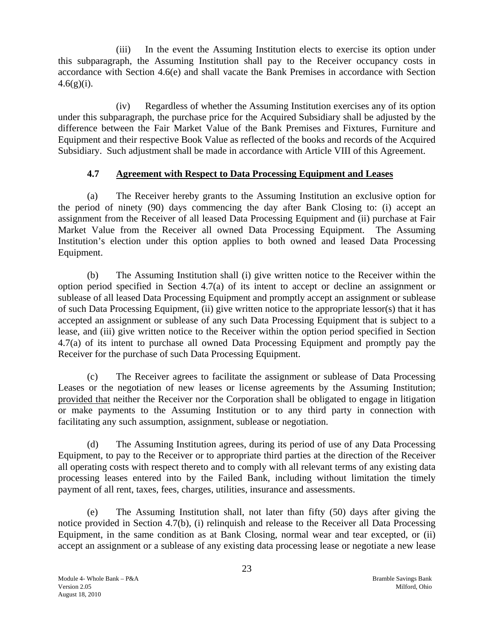<span id="page-26-0"></span>(iii) In the event the Assuming Institution elects to exercise its option under this subparagraph, the Assuming Institution shall pay to the Receiver occupancy costs in accordance with Section 4.6(e) and shall vacate the Bank Premises in accordance with Section  $4.6(g)(i)$ .

(iv) Regardless of whether the Assuming Institution exercises any of its option under this subparagraph, the purchase price for the Acquired Subsidiary shall be adjusted by the difference between the Fair Market Value of the Bank Premises and Fixtures, Furniture and Equipment and their respective Book Value as reflected of the books and records of the Acquired Subsidiary. Such adjustment shall be made in accordance with Article VIII of this Agreement.

# **4.7 Agreement with Respect to Data Processing Equipment and Leases**

(a) The Receiver hereby grants to the Assuming Institution an exclusive option for the period of ninety (90) days commencing the day after Bank Closing to: (i) accept an assignment from the Receiver of all leased Data Processing Equipment and (ii) purchase at Fair Market Value from the Receiver all owned Data Processing Equipment. The Assuming Institution's election under this option applies to both owned and leased Data Processing Equipment.

(b) The Assuming Institution shall (i) give written notice to the Receiver within the option period specified in Section 4.7(a) of its intent to accept or decline an assignment or sublease of all leased Data Processing Equipment and promptly accept an assignment or sublease of such Data Processing Equipment, (ii) give written notice to the appropriate lessor(s) that it has accepted an assignment or sublease of any such Data Processing Equipment that is subject to a lease, and (iii) give written notice to the Receiver within the option period specified in Section 4.7(a) of its intent to purchase all owned Data Processing Equipment and promptly pay the Receiver for the purchase of such Data Processing Equipment.

(c) The Receiver agrees to facilitate the assignment or sublease of Data Processing Leases or the negotiation of new leases or license agreements by the Assuming Institution; provided that neither the Receiver nor the Corporation shall be obligated to engage in litigation or make payments to the Assuming Institution or to any third party in connection with facilitating any such assumption, assignment, sublease or negotiation.

(d) The Assuming Institution agrees, during its period of use of any Data Processing Equipment, to pay to the Receiver or to appropriate third parties at the direction of the Receiver all operating costs with respect thereto and to comply with all relevant terms of any existing data processing leases entered into by the Failed Bank, including without limitation the timely payment of all rent, taxes, fees, charges, utilities, insurance and assessments.

(e) The Assuming Institution shall, not later than fifty (50) days after giving the notice provided in Section 4.7(b), (i) relinquish and release to the Receiver all Data Processing Equipment, in the same condition as at Bank Closing, normal wear and tear excepted, or (ii) accept an assignment or a sublease of any existing data processing lease or negotiate a new lease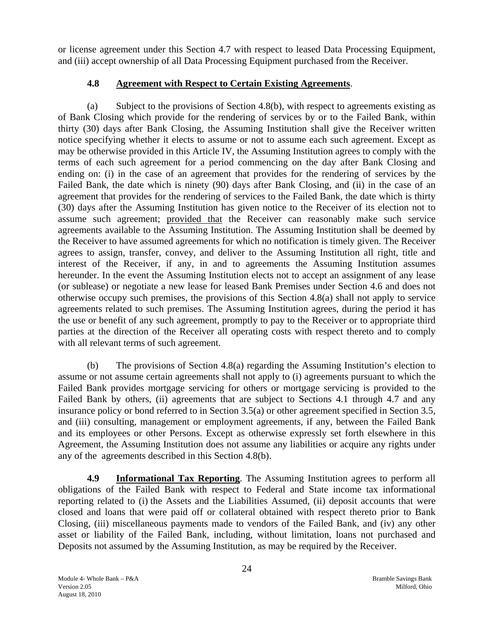<span id="page-27-0"></span>or license agreement under this Section 4.7 with respect to leased Data Processing Equipment, and (iii) accept ownership of all Data Processing Equipment purchased from the Receiver.

## **4.8 Agreement with Respect to Certain Existing Agreements**.

(a) Subject to the provisions of Section 4.8(b), with respect to agreements existing as of Bank Closing which provide for the rendering of services by or to the Failed Bank, within thirty (30) days after Bank Closing, the Assuming Institution shall give the Receiver written notice specifying whether it elects to assume or not to assume each such agreement. Except as may be otherwise provided in this Article IV, the Assuming Institution agrees to comply with the terms of each such agreement for a period commencing on the day after Bank Closing and ending on: (i) in the case of an agreement that provides for the rendering of services by the Failed Bank, the date which is ninety (90) days after Bank Closing, and (ii) in the case of an agreement that provides for the rendering of services to the Failed Bank, the date which is thirty (30) days after the Assuming Institution has given notice to the Receiver of its election not to assume such agreement; provided that the Receiver can reasonably make such service agreements available to the Assuming Institution. The Assuming Institution shall be deemed by the Receiver to have assumed agreements for which no notification is timely given. The Receiver agrees to assign, transfer, convey, and deliver to the Assuming Institution all right, title and interest of the Receiver, if any, in and to agreements the Assuming Institution assumes hereunder. In the event the Assuming Institution elects not to accept an assignment of any lease (or sublease) or negotiate a new lease for leased Bank Premises under Section 4.6 and does not otherwise occupy such premises, the provisions of this Section 4.8(a) shall not apply to service agreements related to such premises. The Assuming Institution agrees, during the period it has the use or benefit of any such agreement, promptly to pay to the Receiver or to appropriate third parties at the direction of the Receiver all operating costs with respect thereto and to comply with all relevant terms of such agreement.

(b) The provisions of Section 4.8(a) regarding the Assuming Institution's election to assume or not assume certain agreements shall not apply to (i) agreements pursuant to which the Failed Bank provides mortgage servicing for others or mortgage servicing is provided to the Failed Bank by others, (ii) agreements that are subject to Sections 4.1 through 4.7 and any insurance policy or bond referred to in Section 3.5(a) or other agreement specified in Section 3.5, and (iii) consulting, management or employment agreements, if any, between the Failed Bank and its employees or other Persons. Except as otherwise expressly set forth elsewhere in this Agreement, the Assuming Institution does not assume any liabilities or acquire any rights under any of the agreements described in this Section 4.8(b).

**4.9 Informational Tax Reporting**. The Assuming Institution agrees to perform all obligations of the Failed Bank with respect to Federal and State income tax informational reporting related to (i) the Assets and the Liabilities Assumed, (ii) deposit accounts that were closed and loans that were paid off or collateral obtained with respect thereto prior to Bank Closing, (iii) miscellaneous payments made to vendors of the Failed Bank, and (iv) any other asset or liability of the Failed Bank, including, without limitation, loans not purchased and Deposits not assumed by the Assuming Institution, as may be required by the Receiver.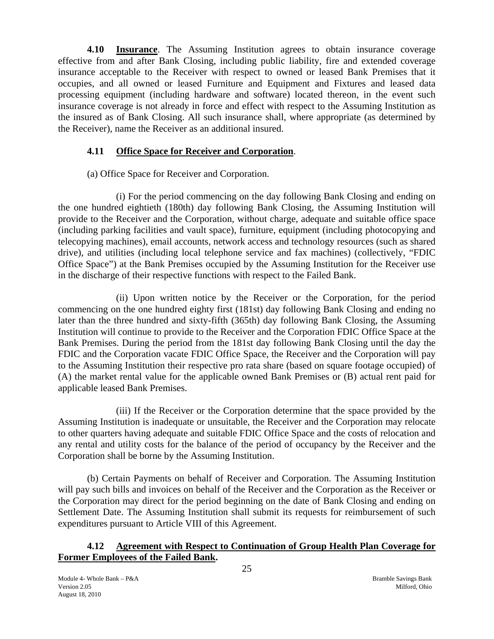<span id="page-28-0"></span> **4.10 Insurance**. The Assuming Institution agrees to obtain insurance coverage effective from and after Bank Closing, including public liability, fire and extended coverage insurance acceptable to the Receiver with respect to owned or leased Bank Premises that it occupies, and all owned or leased Furniture and Equipment and Fixtures and leased data processing equipment (including hardware and software) located thereon, in the event such insurance coverage is not already in force and effect with respect to the Assuming Institution as the insured as of Bank Closing. All such insurance shall, where appropriate (as determined by the Receiver), name the Receiver as an additional insured.

## **4.11 Office Space for Receiver and Corporation**.

(a) Office Space for Receiver and Corporation.

(i) For the period commencing on the day following Bank Closing and ending on the one hundred eightieth (180th) day following Bank Closing, the Assuming Institution will provide to the Receiver and the Corporation, without charge, adequate and suitable office space (including parking facilities and vault space), furniture, equipment (including photocopying and telecopying machines), email accounts, network access and technology resources (such as shared drive), and utilities (including local telephone service and fax machines) (collectively, "FDIC Office Space") at the Bank Premises occupied by the Assuming Institution for the Receiver use in the discharge of their respective functions with respect to the Failed Bank.

(ii) Upon written notice by the Receiver or the Corporation, for the period commencing on the one hundred eighty first (181st) day following Bank Closing and ending no later than the three hundred and sixty-fifth (365th) day following Bank Closing, the Assuming Institution will continue to provide to the Receiver and the Corporation FDIC Office Space at the Bank Premises. During the period from the 181st day following Bank Closing until the day the FDIC and the Corporation vacate FDIC Office Space, the Receiver and the Corporation will pay to the Assuming Institution their respective pro rata share (based on square footage occupied) of (A) the market rental value for the applicable owned Bank Premises or (B) actual rent paid for applicable leased Bank Premises.

(iii) If the Receiver or the Corporation determine that the space provided by the Assuming Institution is inadequate or unsuitable, the Receiver and the Corporation may relocate to other quarters having adequate and suitable FDIC Office Space and the costs of relocation and any rental and utility costs for the balance of the period of occupancy by the Receiver and the Corporation shall be borne by the Assuming Institution.

(b) Certain Payments on behalf of Receiver and Corporation. The Assuming Institution will pay such bills and invoices on behalf of the Receiver and the Corporation as the Receiver or the Corporation may direct for the period beginning on the date of Bank Closing and ending on Settlement Date. The Assuming Institution shall submit its requests for reimbursement of such expenditures pursuant to Article VIII of this Agreement.

#### **4.12 Agreement with Respect to Continuation of Group Health Plan Coverage for Former Employees of the Failed Bank.**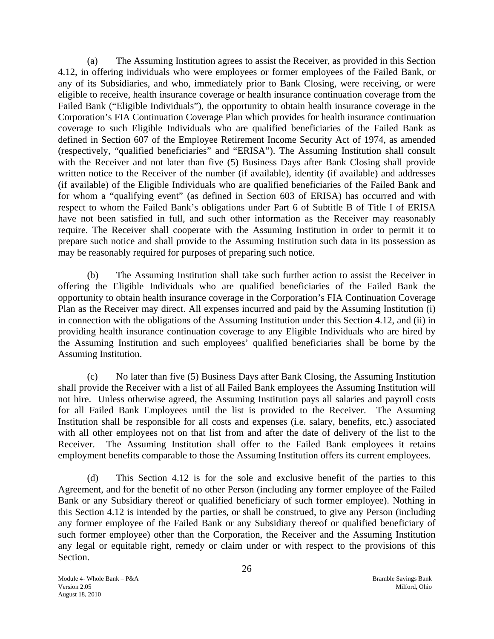(a) The Assuming Institution agrees to assist the Receiver, as provided in this Section 4.12, in offering individuals who were employees or former employees of the Failed Bank, or any of its Subsidiaries, and who, immediately prior to Bank Closing, were receiving, or were eligible to receive, health insurance coverage or health insurance continuation coverage from the Failed Bank ("Eligible Individuals"), the opportunity to obtain health insurance coverage in the Corporation's FIA Continuation Coverage Plan which provides for health insurance continuation coverage to such Eligible Individuals who are qualified beneficiaries of the Failed Bank as defined in Section 607 of the Employee Retirement Income Security Act of 1974, as amended (respectively, "qualified beneficiaries" and "ERISA"). The Assuming Institution shall consult with the Receiver and not later than five (5) Business Days after Bank Closing shall provide written notice to the Receiver of the number (if available), identity (if available) and addresses (if available) of the Eligible Individuals who are qualified beneficiaries of the Failed Bank and for whom a "qualifying event" (as defined in Section 603 of ERISA) has occurred and with respect to whom the Failed Bank's obligations under Part 6 of Subtitle B of Title I of ERISA have not been satisfied in full, and such other information as the Receiver may reasonably require. The Receiver shall cooperate with the Assuming Institution in order to permit it to prepare such notice and shall provide to the Assuming Institution such data in its possession as may be reasonably required for purposes of preparing such notice.

(b) The Assuming Institution shall take such further action to assist the Receiver in offering the Eligible Individuals who are qualified beneficiaries of the Failed Bank the opportunity to obtain health insurance coverage in the Corporation's FIA Continuation Coverage Plan as the Receiver may direct. All expenses incurred and paid by the Assuming Institution (i) in connection with the obligations of the Assuming Institution under this Section 4.12, and (ii) in providing health insurance continuation coverage to any Eligible Individuals who are hired by the Assuming Institution and such employees' qualified beneficiaries shall be borne by the Assuming Institution.

(c) No later than five (5) Business Days after Bank Closing, the Assuming Institution shall provide the Receiver with a list of all Failed Bank employees the Assuming Institution will not hire. Unless otherwise agreed, the Assuming Institution pays all salaries and payroll costs for all Failed Bank Employees until the list is provided to the Receiver. The Assuming Institution shall be responsible for all costs and expenses (i.e. salary, benefits, etc.) associated with all other employees not on that list from and after the date of delivery of the list to the Receiver. The Assuming Institution shall offer to the Failed Bank employees it retains employment benefits comparable to those the Assuming Institution offers its current employees.

(d) This Section 4.12 is for the sole and exclusive benefit of the parties to this Agreement, and for the benefit of no other Person (including any former employee of the Failed Bank or any Subsidiary thereof or qualified beneficiary of such former employee). Nothing in this Section 4.12 is intended by the parties, or shall be construed, to give any Person (including any former employee of the Failed Bank or any Subsidiary thereof or qualified beneficiary of such former employee) other than the Corporation, the Receiver and the Assuming Institution any legal or equitable right, remedy or claim under or with respect to the provisions of this Section.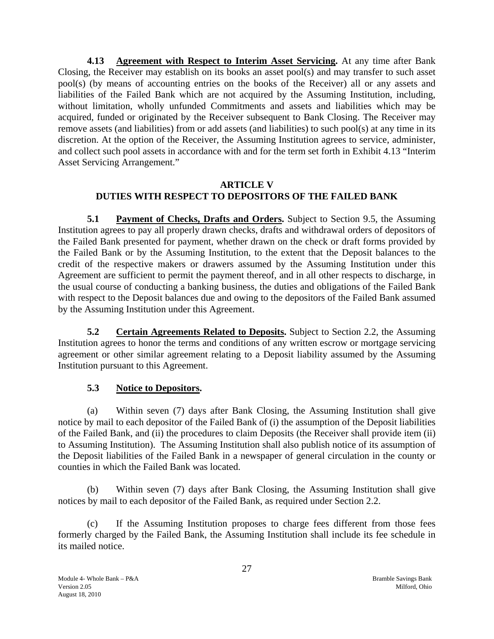<span id="page-30-0"></span>**4.13 Agreement with Respect to Interim Asset Servicing.** At any time after Bank Closing, the Receiver may establish on its books an asset pool(s) and may transfer to such asset pool(s) (by means of accounting entries on the books of the Receiver) all or any assets and liabilities of the Failed Bank which are not acquired by the Assuming Institution, including, without limitation, wholly unfunded Commitments and assets and liabilities which may be acquired, funded or originated by the Receiver subsequent to Bank Closing. The Receiver may remove assets (and liabilities) from or add assets (and liabilities) to such pool(s) at any time in its discretion. At the option of the Receiver, the Assuming Institution agrees to service, administer, and collect such pool assets in accordance with and for the term set forth in Exhibit 4.13 "Interim Asset Servicing Arrangement."

## **ARTICLE V DUTIES WITH RESPECT TO DEPOSITORS OF THE FAILED BANK**

**5.1 Payment of Checks, Drafts and Orders.** Subject to Section 9.5, the Assuming Institution agrees to pay all properly drawn checks, drafts and withdrawal orders of depositors of the Failed Bank presented for payment, whether drawn on the check or draft forms provided by the Failed Bank or by the Assuming Institution, to the extent that the Deposit balances to the credit of the respective makers or drawers assumed by the Assuming Institution under this Agreement are sufficient to permit the payment thereof, and in all other respects to discharge, in the usual course of conducting a banking business, the duties and obligations of the Failed Bank with respect to the Deposit balances due and owing to the depositors of the Failed Bank assumed by the Assuming Institution under this Agreement.

**5.2** Certain Agreements Related to Deposits. Subject to Section 2.2, the Assuming Institution agrees to honor the terms and conditions of any written escrow or mortgage servicing agreement or other similar agreement relating to a Deposit liability assumed by the Assuming Institution pursuant to this Agreement.

## **5.3 Notice to Depositors.**

(a) Within seven (7) days after Bank Closing, the Assuming Institution shall give notice by mail to each depositor of the Failed Bank of (i) the assumption of the Deposit liabilities of the Failed Bank, and (ii) the procedures to claim Deposits (the Receiver shall provide item (ii) to Assuming Institution). The Assuming Institution shall also publish notice of its assumption of the Deposit liabilities of the Failed Bank in a newspaper of general circulation in the county or counties in which the Failed Bank was located.

(b) Within seven (7) days after Bank Closing, the Assuming Institution shall give notices by mail to each depositor of the Failed Bank, as required under Section 2.2.

(c) If the Assuming Institution proposes to charge fees different from those fees formerly charged by the Failed Bank, the Assuming Institution shall include its fee schedule in its mailed notice.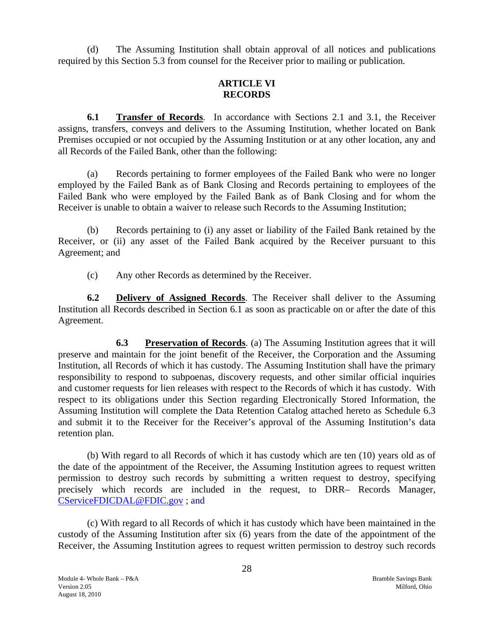<span id="page-31-0"></span>(d) The Assuming Institution shall obtain approval of all notices and publications required by this Section 5.3 from counsel for the Receiver prior to mailing or publication.

## **ARTICLE VI RECORDS**

 **6.1 Transfer of Records**. In accordance with Sections 2.1 and 3.1, the Receiver assigns, transfers, conveys and delivers to the Assuming Institution, whether located on Bank Premises occupied or not occupied by the Assuming Institution or at any other location, any and all Records of the Failed Bank, other than the following:

(a) Records pertaining to former employees of the Failed Bank who were no longer employed by the Failed Bank as of Bank Closing and Records pertaining to employees of the Failed Bank who were employed by the Failed Bank as of Bank Closing and for whom the Receiver is unable to obtain a waiver to release such Records to the Assuming Institution;

(b) Records pertaining to (i) any asset or liability of the Failed Bank retained by the Receiver, or (ii) any asset of the Failed Bank acquired by the Receiver pursuant to this Agreement; and

(c) Any other Records as determined by the Receiver.

**6.2 Delivery of Assigned Records**. The Receiver shall deliver to the Assuming Institution all Records described in Section 6.1 as soon as practicable on or after the date of this Agreement.

**6.3 Preservation of Records**. (a) The Assuming Institution agrees that it will preserve and maintain for the joint benefit of the Receiver, the Corporation and the Assuming Institution, all Records of which it has custody. The Assuming Institution shall have the primary responsibility to respond to subpoenas, discovery requests, and other similar official inquiries and customer requests for lien releases with respect to the Records of which it has custody. With respect to its obligations under this Section regarding Electronically Stored Information, the Assuming Institution will complete the Data Retention Catalog attached hereto as Schedule 6.3 and submit it to the Receiver for the Receiver's approval of the Assuming Institution's data retention plan.

(b) With regard to all Records of which it has custody which are ten (10) years old as of the date of the appointment of the Receiver, the Assuming Institution agrees to request written permission to destroy such records by submitting a written request to destroy, specifying precisely which records are included in the request, to DRR– Records Manager, CServiceFDICDAL@FDIC.gov; and

(c) With regard to all Records of which it has custody which have been maintained in the custody of the Assuming Institution after six (6) years from the date of the appointment of the Receiver, the Assuming Institution agrees to request written permission to destroy such records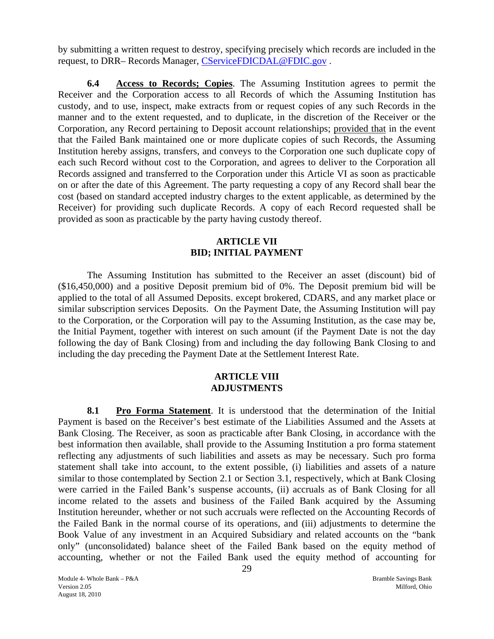<span id="page-32-0"></span>by submitting a written request to destroy, specifying precisely which records are included in the request, to DRR– Records Manager, CServiceFDICDAL@FDIC.gov .

 **6.4 Access to Records; Copies**. The Assuming Institution agrees to permit the Receiver and the Corporation access to all Records of which the Assuming Institution has custody, and to use, inspect, make extracts from or request copies of any such Records in the manner and to the extent requested, and to duplicate, in the discretion of the Receiver or the Corporation, any Record pertaining to Deposit account relationships; provided that in the event that the Failed Bank maintained one or more duplicate copies of such Records, the Assuming Institution hereby assigns, transfers, and conveys to the Corporation one such duplicate copy of each such Record without cost to the Corporation, and agrees to deliver to the Corporation all Records assigned and transferred to the Corporation under this Article VI as soon as practicable on or after the date of this Agreement. The party requesting a copy of any Record shall bear the cost (based on standard accepted industry charges to the extent applicable, as determined by the Receiver) for providing such duplicate Records. A copy of each Record requested shall be provided as soon as practicable by the party having custody thereof.

#### **ARTICLE VII BID; INITIAL PAYMENT**

The Assuming Institution has submitted to the Receiver an asset (discount) bid of (\$16,450,000) and a positive Deposit premium bid of 0%. The Deposit premium bid will be applied to the total of all Assumed Deposits. except brokered, CDARS, and any market place or similar subscription services Deposits. On the Payment Date, the Assuming Institution will pay to the Corporation, or the Corporation will pay to the Assuming Institution, as the case may be, the Initial Payment, together with interest on such amount (if the Payment Date is not the day following the day of Bank Closing) from and including the day following Bank Closing to and including the day preceding the Payment Date at the Settlement Interest Rate.

#### **ARTICLE VIII ADJUSTMENTS**

**8.1 Pro Forma Statement**. It is understood that the determination of the Initial Payment is based on the Receiver's best estimate of the Liabilities Assumed and the Assets at Bank Closing. The Receiver, as soon as practicable after Bank Closing, in accordance with the best information then available, shall provide to the Assuming Institution a pro forma statement reflecting any adjustments of such liabilities and assets as may be necessary. Such pro forma statement shall take into account, to the extent possible, (i) liabilities and assets of a nature similar to those contemplated by Section 2.1 or Section 3.1, respectively, which at Bank Closing were carried in the Failed Bank's suspense accounts, (ii) accruals as of Bank Closing for all income related to the assets and business of the Failed Bank acquired by the Assuming Institution hereunder, whether or not such accruals were reflected on the Accounting Records of the Failed Bank in the normal course of its operations, and (iii) adjustments to determine the Book Value of any investment in an Acquired Subsidiary and related accounts on the "bank only" (unconsolidated) balance sheet of the Failed Bank based on the equity method of accounting, whether or not the Failed Bank used the equity method of accounting for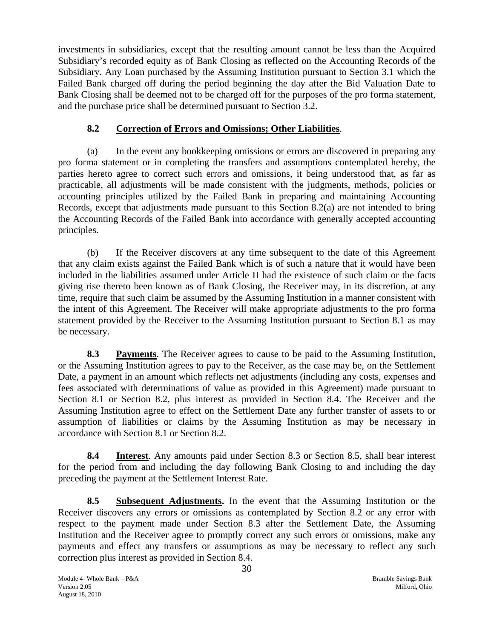<span id="page-33-0"></span>investments in subsidiaries, except that the resulting amount cannot be less than the Acquired Subsidiary's recorded equity as of Bank Closing as reflected on the Accounting Records of the Subsidiary. Any Loan purchased by the Assuming Institution pursuant to Section 3.1 which the Failed Bank charged off during the period beginning the day after the Bid Valuation Date to Bank Closing shall be deemed not to be charged off for the purposes of the pro forma statement, and the purchase price shall be determined pursuant to Section 3.2.

# **8.2 Correction of Errors and Omissions; Other Liabilities**.

(a) In the event any bookkeeping omissions or errors are discovered in preparing any pro forma statement or in completing the transfers and assumptions contemplated hereby, the parties hereto agree to correct such errors and omissions, it being understood that, as far as practicable, all adjustments will be made consistent with the judgments, methods, policies or accounting principles utilized by the Failed Bank in preparing and maintaining Accounting Records, except that adjustments made pursuant to this Section 8.2(a) are not intended to bring the Accounting Records of the Failed Bank into accordance with generally accepted accounting principles.

(b) If the Receiver discovers at any time subsequent to the date of this Agreement that any claim exists against the Failed Bank which is of such a nature that it would have been included in the liabilities assumed under Article II had the existence of such claim or the facts giving rise thereto been known as of Bank Closing, the Receiver may, in its discretion, at any time, require that such claim be assumed by the Assuming Institution in a manner consistent with the intent of this Agreement. The Receiver will make appropriate adjustments to the pro forma statement provided by the Receiver to the Assuming Institution pursuant to Section 8.1 as may be necessary.

**8.3 Payments**. The Receiver agrees to cause to be paid to the Assuming Institution, or the Assuming Institution agrees to pay to the Receiver, as the case may be, on the Settlement Date, a payment in an amount which reflects net adjustments (including any costs, expenses and fees associated with determinations of value as provided in this Agreement) made pursuant to Section 8.1 or Section 8.2, plus interest as provided in Section 8.4. The Receiver and the Assuming Institution agree to effect on the Settlement Date any further transfer of assets to or assumption of liabilities or claims by the Assuming Institution as may be necessary in accordance with Section 8.1 or Section 8.2.

**8.4 Interest**. Any amounts paid under Section 8.3 or Section 8.5, shall bear interest for the period from and including the day following Bank Closing to and including the day preceding the payment at the Settlement Interest Rate.

**8.5 Subsequent Adjustments.** In the event that the Assuming Institution or the Receiver discovers any errors or omissions as contemplated by Section 8.2 or any error with respect to the payment made under Section 8.3 after the Settlement Date, the Assuming Institution and the Receiver agree to promptly correct any such errors or omissions, make any payments and effect any transfers or assumptions as may be necessary to reflect any such correction plus interest as provided in Section 8.4.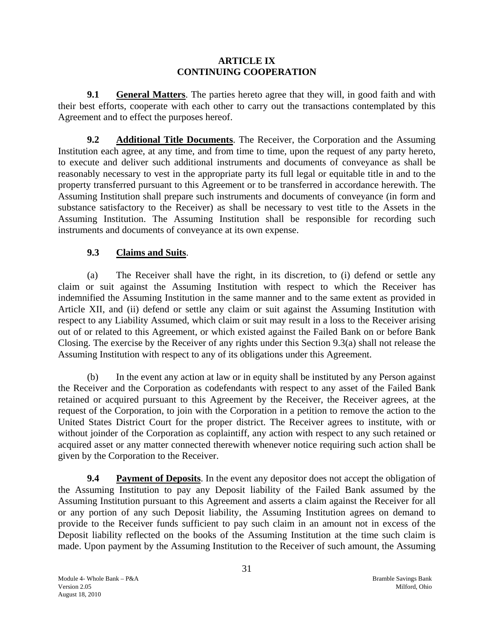#### **ARTICLE IX CONTINUING COOPERATION**

<span id="page-34-0"></span>**9.1 General Matters**. The parties hereto agree that they will, in good faith and with their best efforts, cooperate with each other to carry out the transactions contemplated by this Agreement and to effect the purposes hereof.

**9.2 Additional Title Documents**. The Receiver, the Corporation and the Assuming Institution each agree, at any time, and from time to time, upon the request of any party hereto, to execute and deliver such additional instruments and documents of conveyance as shall be reasonably necessary to vest in the appropriate party its full legal or equitable title in and to the property transferred pursuant to this Agreement or to be transferred in accordance herewith. The Assuming Institution shall prepare such instruments and documents of conveyance (in form and substance satisfactory to the Receiver) as shall be necessary to vest title to the Assets in the Assuming Institution. The Assuming Institution shall be responsible for recording such instruments and documents of conveyance at its own expense.

# **9.3 Claims and Suits**.

(a) The Receiver shall have the right, in its discretion, to (i) defend or settle any claim or suit against the Assuming Institution with respect to which the Receiver has indemnified the Assuming Institution in the same manner and to the same extent as provided in Article XII, and (ii) defend or settle any claim or suit against the Assuming Institution with respect to any Liability Assumed, which claim or suit may result in a loss to the Receiver arising out of or related to this Agreement, or which existed against the Failed Bank on or before Bank Closing. The exercise by the Receiver of any rights under this Section 9.3(a) shall not release the Assuming Institution with respect to any of its obligations under this Agreement.

(b) In the event any action at law or in equity shall be instituted by any Person against the Receiver and the Corporation as codefendants with respect to any asset of the Failed Bank retained or acquired pursuant to this Agreement by the Receiver, the Receiver agrees, at the request of the Corporation, to join with the Corporation in a petition to remove the action to the United States District Court for the proper district. The Receiver agrees to institute, with or without joinder of the Corporation as coplaintiff, any action with respect to any such retained or acquired asset or any matter connected therewith whenever notice requiring such action shall be given by the Corporation to the Receiver.

**9.4** Payment of Deposits. In the event any depositor does not accept the obligation of the Assuming Institution to pay any Deposit liability of the Failed Bank assumed by the Assuming Institution pursuant to this Agreement and asserts a claim against the Receiver for all or any portion of any such Deposit liability, the Assuming Institution agrees on demand to provide to the Receiver funds sufficient to pay such claim in an amount not in excess of the Deposit liability reflected on the books of the Assuming Institution at the time such claim is made. Upon payment by the Assuming Institution to the Receiver of such amount, the Assuming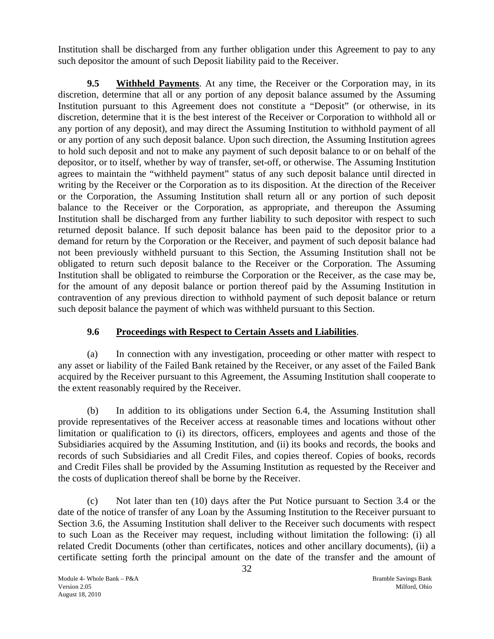<span id="page-35-0"></span>Institution shall be discharged from any further obligation under this Agreement to pay to any such depositor the amount of such Deposit liability paid to the Receiver.

**9.5 Withheld Payments**. At any time, the Receiver or the Corporation may, in its discretion, determine that all or any portion of any deposit balance assumed by the Assuming Institution pursuant to this Agreement does not constitute a "Deposit" (or otherwise, in its discretion, determine that it is the best interest of the Receiver or Corporation to withhold all or any portion of any deposit), and may direct the Assuming Institution to withhold payment of all or any portion of any such deposit balance. Upon such direction, the Assuming Institution agrees to hold such deposit and not to make any payment of such deposit balance to or on behalf of the depositor, or to itself, whether by way of transfer, set-off, or otherwise. The Assuming Institution agrees to maintain the "withheld payment" status of any such deposit balance until directed in writing by the Receiver or the Corporation as to its disposition. At the direction of the Receiver or the Corporation, the Assuming Institution shall return all or any portion of such deposit balance to the Receiver or the Corporation, as appropriate, and thereupon the Assuming Institution shall be discharged from any further liability to such depositor with respect to such returned deposit balance. If such deposit balance has been paid to the depositor prior to a demand for return by the Corporation or the Receiver, and payment of such deposit balance had not been previously withheld pursuant to this Section, the Assuming Institution shall not be obligated to return such deposit balance to the Receiver or the Corporation. The Assuming Institution shall be obligated to reimburse the Corporation or the Receiver, as the case may be, for the amount of any deposit balance or portion thereof paid by the Assuming Institution in contravention of any previous direction to withhold payment of such deposit balance or return such deposit balance the payment of which was withheld pursuant to this Section.

# **9.6 Proceedings with Respect to Certain Assets and Liabilities**.

(a) In connection with any investigation, proceeding or other matter with respect to any asset or liability of the Failed Bank retained by the Receiver, or any asset of the Failed Bank acquired by the Receiver pursuant to this Agreement, the Assuming Institution shall cooperate to the extent reasonably required by the Receiver.

(b) In addition to its obligations under Section 6.4, the Assuming Institution shall provide representatives of the Receiver access at reasonable times and locations without other limitation or qualification to (i) its directors, officers, employees and agents and those of the Subsidiaries acquired by the Assuming Institution, and (ii) its books and records, the books and records of such Subsidiaries and all Credit Files, and copies thereof. Copies of books, records and Credit Files shall be provided by the Assuming Institution as requested by the Receiver and the costs of duplication thereof shall be borne by the Receiver.

(c) Not later than ten (10) days after the Put Notice pursuant to Section 3.4 or the date of the notice of transfer of any Loan by the Assuming Institution to the Receiver pursuant to Section 3.6, the Assuming Institution shall deliver to the Receiver such documents with respect to such Loan as the Receiver may request, including without limitation the following: (i) all related Credit Documents (other than certificates, notices and other ancillary documents), (ii) a certificate setting forth the principal amount on the date of the transfer and the amount of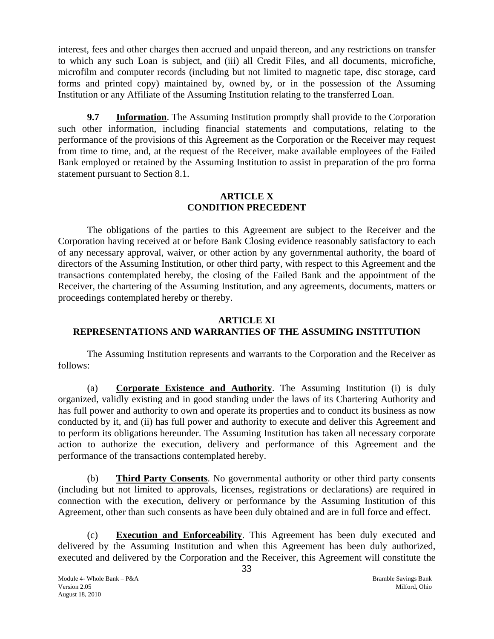<span id="page-36-0"></span>interest, fees and other charges then accrued and unpaid thereon, and any restrictions on transfer to which any such Loan is subject, and (iii) all Credit Files, and all documents, microfiche, microfilm and computer records (including but not limited to magnetic tape, disc storage, card forms and printed copy) maintained by, owned by, or in the possession of the Assuming Institution or any Affiliate of the Assuming Institution relating to the transferred Loan.

**9.7** Information. The Assuming Institution promptly shall provide to the Corporation such other information, including financial statements and computations, relating to the performance of the provisions of this Agreement as the Corporation or the Receiver may request from time to time, and, at the request of the Receiver, make available employees of the Failed Bank employed or retained by the Assuming Institution to assist in preparation of the pro forma statement pursuant to Section 8.1.

#### **ARTICLE X CONDITION PRECEDENT**

The obligations of the parties to this Agreement are subject to the Receiver and the Corporation having received at or before Bank Closing evidence reasonably satisfactory to each of any necessary approval, waiver, or other action by any governmental authority, the board of directors of the Assuming Institution, or other third party, with respect to this Agreement and the transactions contemplated hereby, the closing of the Failed Bank and the appointment of the Receiver, the chartering of the Assuming Institution, and any agreements, documents, matters or proceedings contemplated hereby or thereby.

#### **ARTICLE XI REPRESENTATIONS AND WARRANTIES OF THE ASSUMING INSTITUTION**

The Assuming Institution represents and warrants to the Corporation and the Receiver as follows:

(a) **Corporate Existence and Authority**. The Assuming Institution (i) is duly organized, validly existing and in good standing under the laws of its Chartering Authority and has full power and authority to own and operate its properties and to conduct its business as now conducted by it, and (ii) has full power and authority to execute and deliver this Agreement and to perform its obligations hereunder. The Assuming Institution has taken all necessary corporate action to authorize the execution, delivery and performance of this Agreement and the performance of the transactions contemplated hereby.

(b) **Third Party Consents**. No governmental authority or other third party consents (including but not limited to approvals, licenses, registrations or declarations) are required in connection with the execution, delivery or performance by the Assuming Institution of this Agreement, other than such consents as have been duly obtained and are in full force and effect.

(c) **Execution and Enforceability**. This Agreement has been duly executed and delivered by the Assuming Institution and when this Agreement has been duly authorized, executed and delivered by the Corporation and the Receiver, this Agreement will constitute the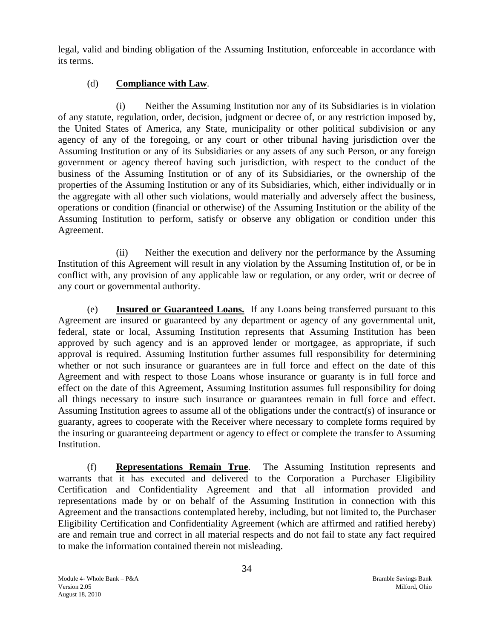legal, valid and binding obligation of the Assuming Institution, enforceable in accordance with its terms.

# (d) **Compliance with Law**.

(i) Neither the Assuming Institution nor any of its Subsidiaries is in violation of any statute, regulation, order, decision, judgment or decree of, or any restriction imposed by, the United States of America, any State, municipality or other political subdivision or any agency of any of the foregoing, or any court or other tribunal having jurisdiction over the Assuming Institution or any of its Subsidiaries or any assets of any such Person, or any foreign government or agency thereof having such jurisdiction, with respect to the conduct of the business of the Assuming Institution or of any of its Subsidiaries, or the ownership of the properties of the Assuming Institution or any of its Subsidiaries, which, either individually or in the aggregate with all other such violations, would materially and adversely affect the business, operations or condition (financial or otherwise) of the Assuming Institution or the ability of the Assuming Institution to perform, satisfy or observe any obligation or condition under this Agreement.

(ii) Neither the execution and delivery nor the performance by the Assuming Institution of this Agreement will result in any violation by the Assuming Institution of, or be in conflict with, any provision of any applicable law or regulation, or any order, writ or decree of any court or governmental authority.

(e) **Insured or Guaranteed Loans.** If any Loans being transferred pursuant to this Agreement are insured or guaranteed by any department or agency of any governmental unit, federal, state or local, Assuming Institution represents that Assuming Institution has been approved by such agency and is an approved lender or mortgagee, as appropriate, if such approval is required. Assuming Institution further assumes full responsibility for determining whether or not such insurance or guarantees are in full force and effect on the date of this Agreement and with respect to those Loans whose insurance or guaranty is in full force and effect on the date of this Agreement, Assuming Institution assumes full responsibility for doing all things necessary to insure such insurance or guarantees remain in full force and effect. Assuming Institution agrees to assume all of the obligations under the contract(s) of insurance or guaranty, agrees to cooperate with the Receiver where necessary to complete forms required by the insuring or guaranteeing department or agency to effect or complete the transfer to Assuming Institution.

(f) **Representations Remain True**. The Assuming Institution represents and warrants that it has executed and delivered to the Corporation a Purchaser Eligibility Certification and Confidentiality Agreement and that all information provided and representations made by or on behalf of the Assuming Institution in connection with this Agreement and the transactions contemplated hereby, including, but not limited to, the Purchaser Eligibility Certification and Confidentiality Agreement (which are affirmed and ratified hereby) are and remain true and correct in all material respects and do not fail to state any fact required to make the information contained therein not misleading.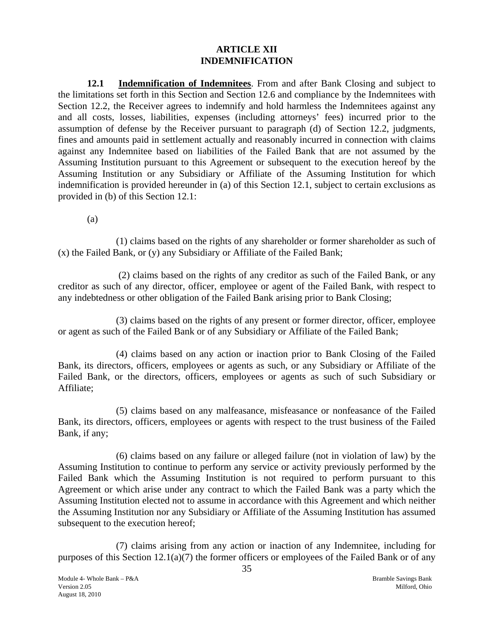## **ARTICLE XII INDEMNIFICATION**

<span id="page-38-0"></span>**12.1 Indemnification of Indemnitees**. From and after Bank Closing and subject to the limitations set forth in this Section and Section 12.6 and compliance by the Indemnitees with Section 12.2, the Receiver agrees to indemnify and hold harmless the Indemnitees against any and all costs, losses, liabilities, expenses (including attorneys' fees) incurred prior to the assumption of defense by the Receiver pursuant to paragraph (d) of Section 12.2, judgments, fines and amounts paid in settlement actually and reasonably incurred in connection with claims against any Indemnitee based on liabilities of the Failed Bank that are not assumed by the Assuming Institution pursuant to this Agreement or subsequent to the execution hereof by the Assuming Institution or any Subsidiary or Affiliate of the Assuming Institution for which indemnification is provided hereunder in (a) of this Section 12.1, subject to certain exclusions as provided in (b) of this Section 12.1:

(a)

(1) claims based on the rights of any shareholder or former shareholder as such of (x) the Failed Bank, or (y) any Subsidiary or Affiliate of the Failed Bank;

(2) claims based on the rights of any creditor as such of the Failed Bank, or any creditor as such of any director, officer, employee or agent of the Failed Bank, with respect to any indebtedness or other obligation of the Failed Bank arising prior to Bank Closing;

(3) claims based on the rights of any present or former director, officer, employee or agent as such of the Failed Bank or of any Subsidiary or Affiliate of the Failed Bank;

(4) claims based on any action or inaction prior to Bank Closing of the Failed Bank, its directors, officers, employees or agents as such, or any Subsidiary or Affiliate of the Failed Bank, or the directors, officers, employees or agents as such of such Subsidiary or Affiliate;

(5) claims based on any malfeasance, misfeasance or nonfeasance of the Failed Bank, its directors, officers, employees or agents with respect to the trust business of the Failed Bank, if any;

(6) claims based on any failure or alleged failure (not in violation of law) by the Assuming Institution to continue to perform any service or activity previously performed by the Failed Bank which the Assuming Institution is not required to perform pursuant to this Agreement or which arise under any contract to which the Failed Bank was a party which the Assuming Institution elected not to assume in accordance with this Agreement and which neither the Assuming Institution nor any Subsidiary or Affiliate of the Assuming Institution has assumed subsequent to the execution hereof;

(7) claims arising from any action or inaction of any Indemnitee, including for purposes of this Section 12.1(a)(7) the former officers or employees of the Failed Bank or of any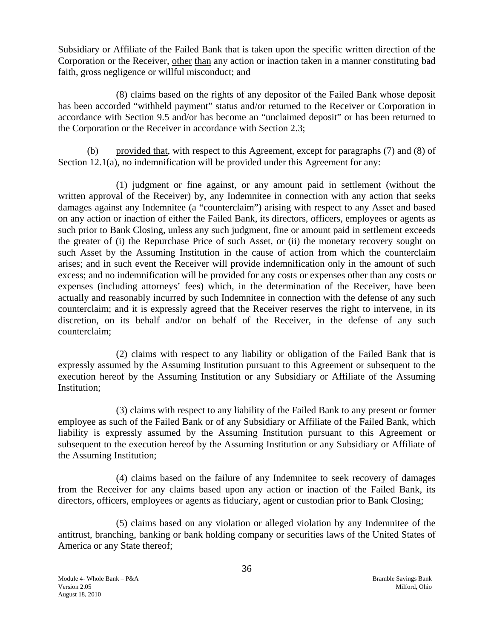Subsidiary or Affiliate of the Failed Bank that is taken upon the specific written direction of the Corporation or the Receiver, other than any action or inaction taken in a manner constituting bad faith, gross negligence or willful misconduct; and

(8) claims based on the rights of any depositor of the Failed Bank whose deposit has been accorded "withheld payment" status and/or returned to the Receiver or Corporation in accordance with Section 9.5 and/or has become an "unclaimed deposit" or has been returned to the Corporation or the Receiver in accordance with Section 2.3;

(b) provided that, with respect to this Agreement, except for paragraphs (7) and (8) of Section 12.1(a), no indemnification will be provided under this Agreement for any:

(1) judgment or fine against, or any amount paid in settlement (without the written approval of the Receiver) by, any Indemnitee in connection with any action that seeks damages against any Indemnitee (a "counterclaim") arising with respect to any Asset and based on any action or inaction of either the Failed Bank, its directors, officers, employees or agents as such prior to Bank Closing, unless any such judgment, fine or amount paid in settlement exceeds the greater of (i) the Repurchase Price of such Asset, or (ii) the monetary recovery sought on such Asset by the Assuming Institution in the cause of action from which the counterclaim arises; and in such event the Receiver will provide indemnification only in the amount of such excess; and no indemnification will be provided for any costs or expenses other than any costs or expenses (including attorneys' fees) which, in the determination of the Receiver, have been actually and reasonably incurred by such Indemnitee in connection with the defense of any such counterclaim; and it is expressly agreed that the Receiver reserves the right to intervene, in its discretion, on its behalf and/or on behalf of the Receiver, in the defense of any such counterclaim;

(2) claims with respect to any liability or obligation of the Failed Bank that is expressly assumed by the Assuming Institution pursuant to this Agreement or subsequent to the execution hereof by the Assuming Institution or any Subsidiary or Affiliate of the Assuming Institution;

(3) claims with respect to any liability of the Failed Bank to any present or former employee as such of the Failed Bank or of any Subsidiary or Affiliate of the Failed Bank, which liability is expressly assumed by the Assuming Institution pursuant to this Agreement or subsequent to the execution hereof by the Assuming Institution or any Subsidiary or Affiliate of the Assuming Institution;

(4) claims based on the failure of any Indemnitee to seek recovery of damages from the Receiver for any claims based upon any action or inaction of the Failed Bank, its directors, officers, employees or agents as fiduciary, agent or custodian prior to Bank Closing;

(5) claims based on any violation or alleged violation by any Indemnitee of the antitrust, branching, banking or bank holding company or securities laws of the United States of America or any State thereof;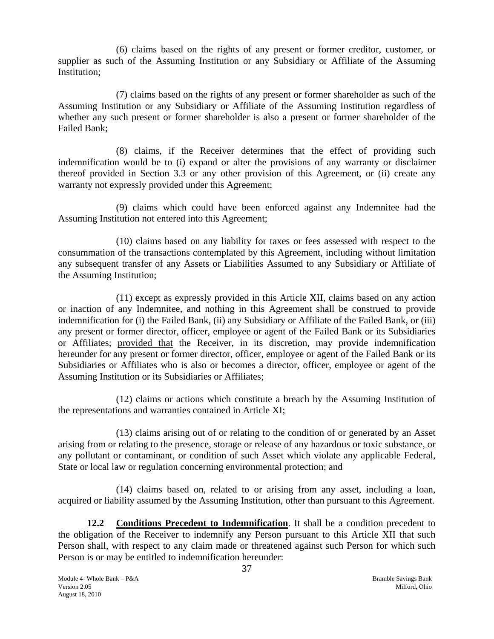<span id="page-40-0"></span>(6) claims based on the rights of any present or former creditor, customer, or supplier as such of the Assuming Institution or any Subsidiary or Affiliate of the Assuming Institution;

(7) claims based on the rights of any present or former shareholder as such of the Assuming Institution or any Subsidiary or Affiliate of the Assuming Institution regardless of whether any such present or former shareholder is also a present or former shareholder of the Failed Bank;

(8) claims, if the Receiver determines that the effect of providing such indemnification would be to (i) expand or alter the provisions of any warranty or disclaimer thereof provided in Section 3.3 or any other provision of this Agreement, or (ii) create any warranty not expressly provided under this Agreement;

(9) claims which could have been enforced against any Indemnitee had the Assuming Institution not entered into this Agreement;

(10) claims based on any liability for taxes or fees assessed with respect to the consummation of the transactions contemplated by this Agreement, including without limitation any subsequent transfer of any Assets or Liabilities Assumed to any Subsidiary or Affiliate of the Assuming Institution;

(11) except as expressly provided in this Article XII, claims based on any action or inaction of any Indemnitee, and nothing in this Agreement shall be construed to provide indemnification for (i) the Failed Bank, (ii) any Subsidiary or Affiliate of the Failed Bank, or (iii) any present or former director, officer, employee or agent of the Failed Bank or its Subsidiaries or Affiliates; provided that the Receiver, in its discretion, may provide indemnification hereunder for any present or former director, officer, employee or agent of the Failed Bank or its Subsidiaries or Affiliates who is also or becomes a director, officer, employee or agent of the Assuming Institution or its Subsidiaries or Affiliates;

(12) claims or actions which constitute a breach by the Assuming Institution of the representations and warranties contained in Article XI;

(13) claims arising out of or relating to the condition of or generated by an Asset arising from or relating to the presence, storage or release of any hazardous or toxic substance, or any pollutant or contaminant, or condition of such Asset which violate any applicable Federal, State or local law or regulation concerning environmental protection; and

(14) claims based on, related to or arising from any asset, including a loan, acquired or liability assumed by the Assuming Institution, other than pursuant to this Agreement.

**12.2 Conditions Precedent to Indemnification**. It shall be a condition precedent to the obligation of the Receiver to indemnify any Person pursuant to this Article XII that such Person shall, with respect to any claim made or threatened against such Person for which such Person is or may be entitled to indemnification hereunder: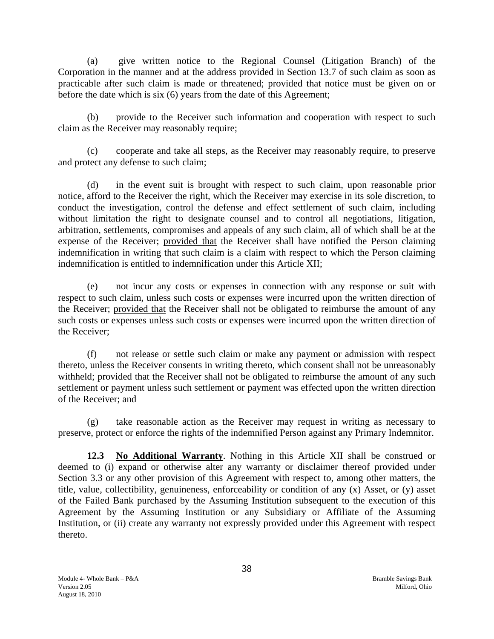<span id="page-41-0"></span>(a) give written notice to the Regional Counsel (Litigation Branch) of the Corporation in the manner and at the address provided in Section 13.7 of such claim as soon as practicable after such claim is made or threatened; provided that notice must be given on or before the date which is six (6) years from the date of this Agreement;

(b) provide to the Receiver such information and cooperation with respect to such claim as the Receiver may reasonably require;

(c) cooperate and take all steps, as the Receiver may reasonably require, to preserve and protect any defense to such claim;

(d) in the event suit is brought with respect to such claim, upon reasonable prior notice, afford to the Receiver the right, which the Receiver may exercise in its sole discretion, to conduct the investigation, control the defense and effect settlement of such claim, including without limitation the right to designate counsel and to control all negotiations, litigation, arbitration, settlements, compromises and appeals of any such claim, all of which shall be at the expense of the Receiver; provided that the Receiver shall have notified the Person claiming indemnification in writing that such claim is a claim with respect to which the Person claiming indemnification is entitled to indemnification under this Article XII;

(e) not incur any costs or expenses in connection with any response or suit with respect to such claim, unless such costs or expenses were incurred upon the written direction of the Receiver; provided that the Receiver shall not be obligated to reimburse the amount of any such costs or expenses unless such costs or expenses were incurred upon the written direction of the Receiver;

(f) not release or settle such claim or make any payment or admission with respect thereto, unless the Receiver consents in writing thereto, which consent shall not be unreasonably withheld; provided that the Receiver shall not be obligated to reimburse the amount of any such settlement or payment unless such settlement or payment was effected upon the written direction of the Receiver; and

(g) take reasonable action as the Receiver may request in writing as necessary to preserve, protect or enforce the rights of the indemnified Person against any Primary Indemnitor.

**12.3 No Additional Warranty**. Nothing in this Article XII shall be construed or deemed to (i) expand or otherwise alter any warranty or disclaimer thereof provided under Section 3.3 or any other provision of this Agreement with respect to, among other matters, the title, value, collectibility, genuineness, enforceability or condition of any (x) Asset, or (y) asset of the Failed Bank purchased by the Assuming Institution subsequent to the execution of this Agreement by the Assuming Institution or any Subsidiary or Affiliate of the Assuming Institution, or (ii) create any warranty not expressly provided under this Agreement with respect thereto.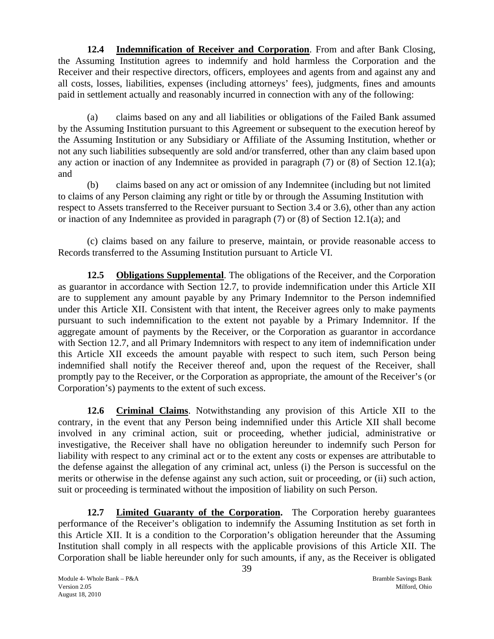<span id="page-42-0"></span>**12.4 Indemnification of Receiver and Corporation**. From and after Bank Closing, the Assuming Institution agrees to indemnify and hold harmless the Corporation and the Receiver and their respective directors, officers, employees and agents from and against any and all costs, losses, liabilities, expenses (including attorneys' fees), judgments, fines and amounts paid in settlement actually and reasonably incurred in connection with any of the following:

(a) claims based on any and all liabilities or obligations of the Failed Bank assumed by the Assuming Institution pursuant to this Agreement or subsequent to the execution hereof by the Assuming Institution or any Subsidiary or Affiliate of the Assuming Institution, whether or not any such liabilities subsequently are sold and/or transferred, other than any claim based upon any action or inaction of any Indemnitee as provided in paragraph (7) or (8) of Section 12.1(a); and

(b) claims based on any act or omission of any Indemnitee (including but not limited to claims of any Person claiming any right or title by or through the Assuming Institution with respect to Assets transferred to the Receiver pursuant to Section 3.4 or 3.6), other than any action or inaction of any Indemnitee as provided in paragraph (7) or (8) of Section 12.1(a); and

(c) claims based on any failure to preserve, maintain, or provide reasonable access to Records transferred to the Assuming Institution pursuant to Article VI.

**12.5 Obligations Supplemental**. The obligations of the Receiver, and the Corporation as guarantor in accordance with Section 12.7, to provide indemnification under this Article XII are to supplement any amount payable by any Primary Indemnitor to the Person indemnified under this Article XII. Consistent with that intent, the Receiver agrees only to make payments pursuant to such indemnification to the extent not payable by a Primary Indemnitor. If the aggregate amount of payments by the Receiver, or the Corporation as guarantor in accordance with Section 12.7, and all Primary Indemnitors with respect to any item of indemnification under this Article XII exceeds the amount payable with respect to such item, such Person being indemnified shall notify the Receiver thereof and, upon the request of the Receiver, shall promptly pay to the Receiver, or the Corporation as appropriate, the amount of the Receiver's (or Corporation's) payments to the extent of such excess.

**12.6 Criminal Claims**. Notwithstanding any provision of this Article XII to the contrary, in the event that any Person being indemnified under this Article XII shall become involved in any criminal action, suit or proceeding, whether judicial, administrative or investigative, the Receiver shall have no obligation hereunder to indemnify such Person for liability with respect to any criminal act or to the extent any costs or expenses are attributable to the defense against the allegation of any criminal act, unless (i) the Person is successful on the merits or otherwise in the defense against any such action, suit or proceeding, or (ii) such action, suit or proceeding is terminated without the imposition of liability on such Person.

**12.7 Limited Guaranty of the Corporation.** The Corporation hereby guarantees performance of the Receiver's obligation to indemnify the Assuming Institution as set forth in this Article XII. It is a condition to the Corporation's obligation hereunder that the Assuming Institution shall comply in all respects with the applicable provisions of this Article XII. The Corporation shall be liable hereunder only for such amounts, if any, as the Receiver is obligated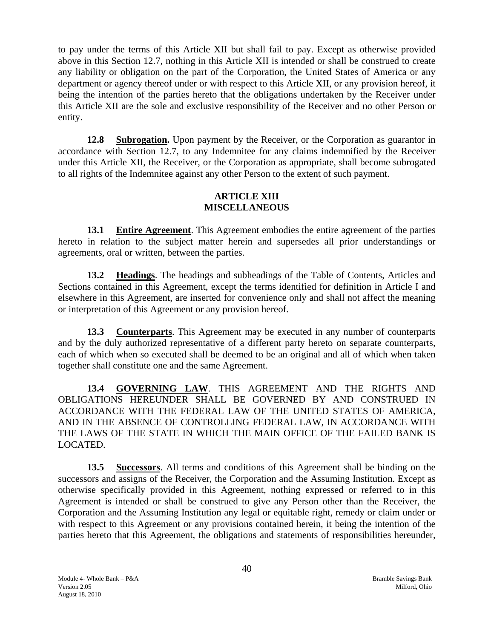<span id="page-43-0"></span>to pay under the terms of this Article XII but shall fail to pay. Except as otherwise provided above in this Section 12.7, nothing in this Article XII is intended or shall be construed to create any liability or obligation on the part of the Corporation, the United States of America or any department or agency thereof under or with respect to this Article XII, or any provision hereof, it being the intention of the parties hereto that the obligations undertaken by the Receiver under this Article XII are the sole and exclusive responsibility of the Receiver and no other Person or entity.

**12.8 Subrogation.** Upon payment by the Receiver, or the Corporation as guarantor in accordance with Section 12.7, to any Indemnitee for any claims indemnified by the Receiver under this Article XII, the Receiver, or the Corporation as appropriate, shall become subrogated to all rights of the Indemnitee against any other Person to the extent of such payment.

#### **ARTICLE XIII MISCELLANEOUS**

**13.1** Entire Agreement. This Agreement embodies the entire agreement of the parties hereto in relation to the subject matter herein and supersedes all prior understandings or agreements, oral or written, between the parties.

**13.2 Headings**. The headings and subheadings of the Table of Contents, Articles and Sections contained in this Agreement, except the terms identified for definition in Article I and elsewhere in this Agreement, are inserted for convenience only and shall not affect the meaning or interpretation of this Agreement or any provision hereof.

**13.3 Counterparts**. This Agreement may be executed in any number of counterparts and by the duly authorized representative of a different party hereto on separate counterparts, each of which when so executed shall be deemed to be an original and all of which when taken together shall constitute one and the same Agreement.

**13.4 GOVERNING LAW**. THIS AGREEMENT AND THE RIGHTS AND OBLIGATIONS HEREUNDER SHALL BE GOVERNED BY AND CONSTRUED IN ACCORDANCE WITH THE FEDERAL LAW OF THE UNITED STATES OF AMERICA, AND IN THE ABSENCE OF CONTROLLING FEDERAL LAW, IN ACCORDANCE WITH THE LAWS OF THE STATE IN WHICH THE MAIN OFFICE OF THE FAILED BANK IS LOCATED.

**13.5 Successors**. All terms and conditions of this Agreement shall be binding on the successors and assigns of the Receiver, the Corporation and the Assuming Institution. Except as otherwise specifically provided in this Agreement, nothing expressed or referred to in this Agreement is intended or shall be construed to give any Person other than the Receiver, the Corporation and the Assuming Institution any legal or equitable right, remedy or claim under or with respect to this Agreement or any provisions contained herein, it being the intention of the parties hereto that this Agreement, the obligations and statements of responsibilities hereunder,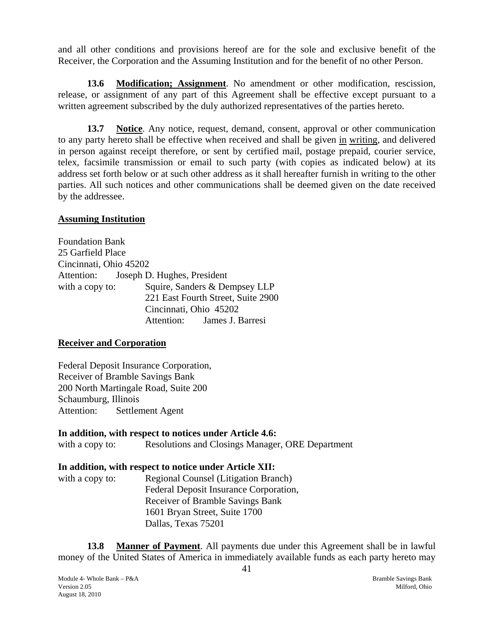<span id="page-44-0"></span>and all other conditions and provisions hereof are for the sole and exclusive benefit of the Receiver, the Corporation and the Assuming Institution and for the benefit of no other Person.

**13.6 Modification; Assignment**. No amendment or other modification, rescission, release, or assignment of any part of this Agreement shall be effective except pursuant to a written agreement subscribed by the duly authorized representatives of the parties hereto.

13.7 Notice. Any notice, request, demand, consent, approval or other communication to any party hereto shall be effective when received and shall be given in writing, and delivered in person against receipt therefore, or sent by certified mail, postage prepaid, courier service, telex, facsimile transmission or email to such party (with copies as indicated below) at its address set forth below or at such other address as it shall hereafter furnish in writing to the other parties. All such notices and other communications shall be deemed given on the date received by the addressee.

## **Assuming Institution**

Foundation Bank 25 Garfield Place Cincinnati, Ohio 45202 Attention: Joseph D. Hughes, President with a copy to: Squire, Sanders & Dempsey LLP 221 East Fourth Street, Suite 2900 Cincinnati, Ohio 45202 Attention: James J. Barresi

# **Receiver and Corporation**

Federal Deposit Insurance Corporation, Receiver of Bramble Savings Bank 200 North Martingale Road, Suite 200 Schaumburg, Illinois Attention: Settlement Agent

**In addition, with respect to notices under Article 4.6:**  with a copy to: Resolutions and Closings Manager, ORE Department

# **In addition, with respect to notice under Article XII:**

with a copy to: Regional Counsel (Litigation Branch) Federal Deposit Insurance Corporation, Receiver of Bramble Savings Bank 1601 Bryan Street, Suite 1700 Dallas, Texas 75201

**13.8 Manner of Payment**. All payments due under this Agreement shall be in lawful money of the United States of America in immediately available funds as each party hereto may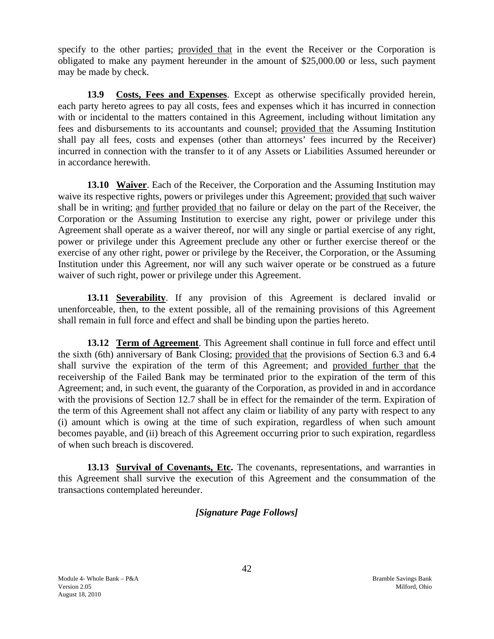<span id="page-45-0"></span>specify to the other parties; provided that in the event the Receiver or the Corporation is obligated to make any payment hereunder in the amount of \$25,000.00 or less, such payment may be made by check.

**13.9 Costs, Fees and Expenses**. Except as otherwise specifically provided herein, each party hereto agrees to pay all costs, fees and expenses which it has incurred in connection with or incidental to the matters contained in this Agreement, including without limitation any fees and disbursements to its accountants and counsel; provided that the Assuming Institution shall pay all fees, costs and expenses (other than attorneys' fees incurred by the Receiver) incurred in connection with the transfer to it of any Assets or Liabilities Assumed hereunder or in accordance herewith.

**13.10 Waiver**. Each of the Receiver, the Corporation and the Assuming Institution may waive its respective rights, powers or privileges under this Agreement; provided that such waiver shall be in writing; and further provided that no failure or delay on the part of the Receiver, the Corporation or the Assuming Institution to exercise any right, power or privilege under this Agreement shall operate as a waiver thereof, nor will any single or partial exercise of any right, power or privilege under this Agreement preclude any other or further exercise thereof or the exercise of any other right, power or privilege by the Receiver, the Corporation, or the Assuming Institution under this Agreement, nor will any such waiver operate or be construed as a future waiver of such right, power or privilege under this Agreement.

**13.11 Severability**. If any provision of this Agreement is declared invalid or unenforceable, then, to the extent possible, all of the remaining provisions of this Agreement shall remain in full force and effect and shall be binding upon the parties hereto.

**13.12 Term of Agreement**. This Agreement shall continue in full force and effect until the sixth (6th) anniversary of Bank Closing; provided that the provisions of Section 6.3 and 6.4 shall survive the expiration of the term of this Agreement; and provided further that the receivership of the Failed Bank may be terminated prior to the expiration of the term of this Agreement; and, in such event, the guaranty of the Corporation, as provided in and in accordance with the provisions of Section 12.7 shall be in effect for the remainder of the term. Expiration of the term of this Agreement shall not affect any claim or liability of any party with respect to any (i) amount which is owing at the time of such expiration, regardless of when such amount becomes payable, and (ii) breach of this Agreement occurring prior to such expiration, regardless of when such breach is discovered.

**13.13 Survival of Covenants, Etc.** The covenants, representations, and warranties in this Agreement shall survive the execution of this Agreement and the consummation of the transactions contemplated hereunder.

## *[Signature Page Follows]*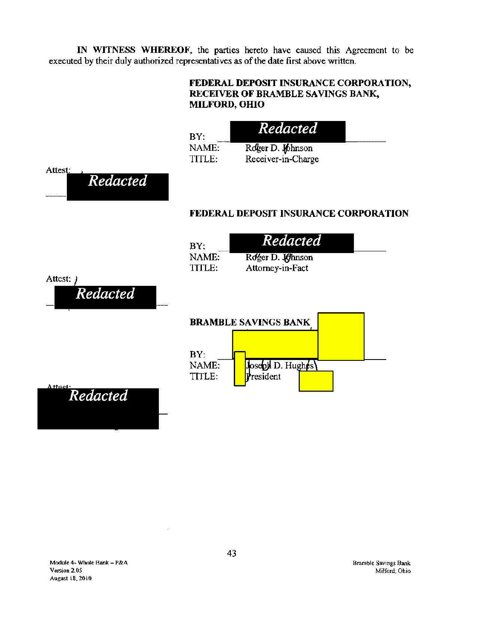IN WITNESS WHEREOF, the parties hereto have caused this Agreement to be executed by their duly authorized representatives as of the date first above written.



| BY:<br>NAME:<br>TITLE: | Redacted<br>Roger D. Johnson<br>Receiver-in-Charge |                                                                      |
|------------------------|----------------------------------------------------|----------------------------------------------------------------------|
|                        |                                                    |                                                                      |
| BY:<br>NAME:<br>TITLE: | Redacted<br>Roger D. Johnson<br>Attorney-in-Fact   |                                                                      |
| BY:<br>NAME:<br>TITLE: | losebl D. Hughes<br><b>President</b>               |                                                                      |
|                        |                                                    | FEDERAL DEPOSIT INSURANCE CORPORATION<br><b>BRAMBLE SAVINGS BANK</b> |

 $\frac{2\pi}{\sqrt{3}}$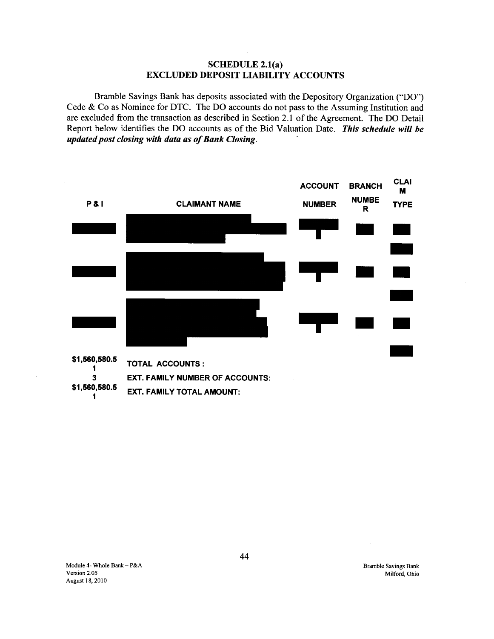#### SCHEDULE 2.1(a) EXCLUDED DEPOSIT LIABILITY ACCOUNTS

Bramble Savings Bank has deposits associated with the Depository Organization ("DO") Cede & Co as Nominee for DTC. The DO accounts do not pass to the Assuming Institution and are excluded from the transaction as described in Section 2.1 of the Agreement. The DO Detail Report below identifies the DO accounts as of the Bid Valuation Date. This schedule will be updated post closing with data as of Bank Closing.

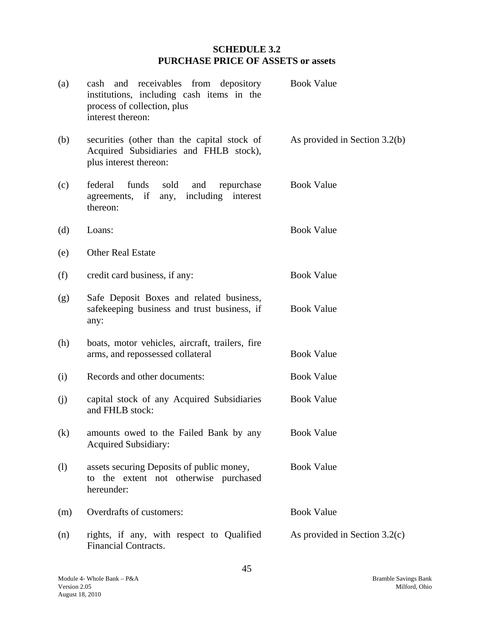## **SCHEDULE 3.2 PURCHASE PRICE OF ASSETS or assets**

| (a) | cash and receivables from depository<br>institutions, including cash items in the<br>process of collection, plus<br>interest thereon: | <b>Book Value</b>               |
|-----|---------------------------------------------------------------------------------------------------------------------------------------|---------------------------------|
| (b) | securities (other than the capital stock of<br>Acquired Subsidiaries and FHLB stock),<br>plus interest thereon:                       | As provided in Section 3.2(b)   |
| (c) | federal<br>funds<br>sold<br>and<br>repurchase<br>agreements, if<br>any, including interest<br>thereon:                                | <b>Book Value</b>               |
| (d) | Loans:                                                                                                                                | <b>Book Value</b>               |
| (e) | <b>Other Real Estate</b>                                                                                                              |                                 |
| (f) | credit card business, if any:                                                                                                         | <b>Book Value</b>               |
| (g) | Safe Deposit Boxes and related business,<br>safekeeping business and trust business, if<br>any:                                       | <b>Book Value</b>               |
| (h) | boats, motor vehicles, aircraft, trailers, fire<br>arms, and repossessed collateral                                                   | <b>Book Value</b>               |
| (i) | Records and other documents:                                                                                                          | <b>Book Value</b>               |
| (j) | capital stock of any Acquired Subsidiaries<br>and FHLB stock:                                                                         | <b>Book Value</b>               |
| (k) | amounts owed to the Failed Bank by any<br><b>Acquired Subsidiary:</b>                                                                 | <b>Book Value</b>               |
| (1) | assets securing Deposits of public money,<br>to the extent not otherwise purchased<br>hereunder:                                      | <b>Book Value</b>               |
| (m) | Overdrafts of customers:                                                                                                              | <b>Book Value</b>               |
| (n) | rights, if any, with respect to Qualified<br><b>Financial Contracts.</b>                                                              | As provided in Section $3.2(c)$ |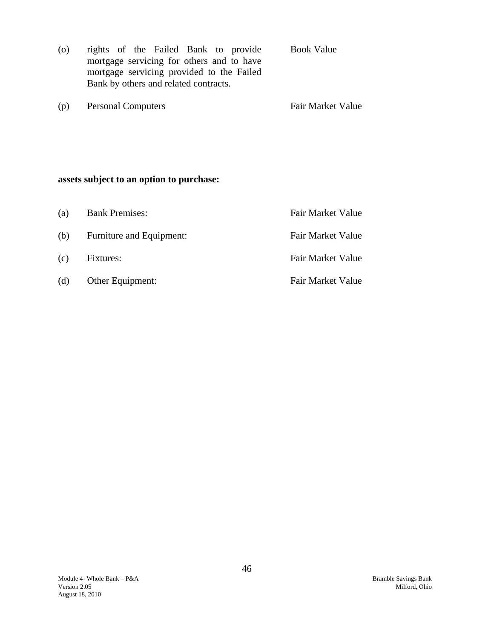| (0) | rights of the Failed Bank to provide<br>mortgage servicing for others and to have  | <b>Book Value</b> |
|-----|------------------------------------------------------------------------------------|-------------------|
|     | mortgage servicing provided to the Failed<br>Bank by others and related contracts. |                   |
| (p) | <b>Personal Computers</b>                                                          | Fair Market Value |

# **assets subject to an option to purchase:**

| (a) | <b>Bank Premises:</b>    | Fair Market Value        |
|-----|--------------------------|--------------------------|
| (b) | Furniture and Equipment: | Fair Market Value        |
| (c) | Fixtures:                | Fair Market Value        |
| (d) | Other Equipment:         | <b>Fair Market Value</b> |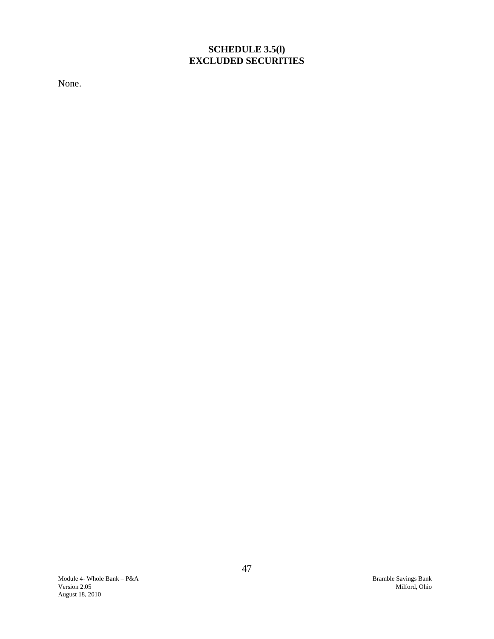# **SCHEDULE 3.5(l) EXCLUDED SECURITIES**

<span id="page-50-0"></span>None.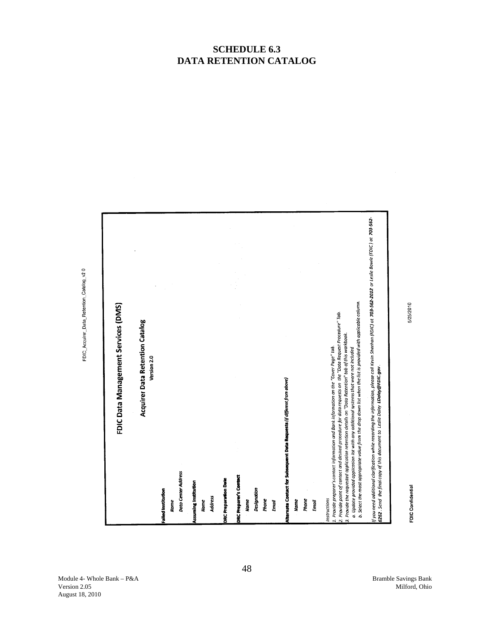

FDIC\_Acquirer\_Data\_Retention\_Catalog\_v20

<span id="page-51-0"></span>**SCHEDULE 6.3 DATA RETENTION CATALOG**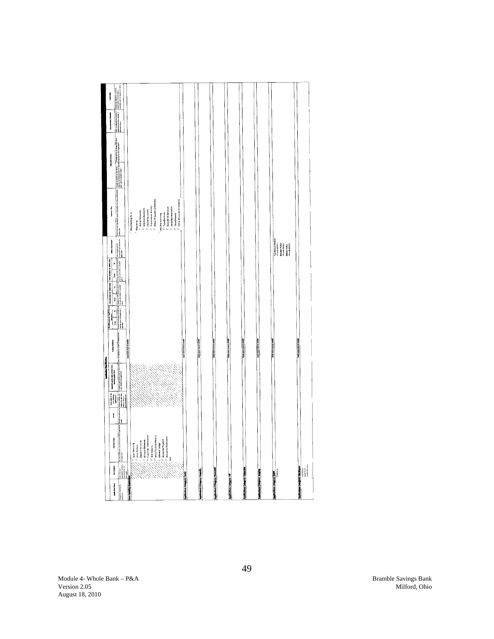

Module 4- Whole Bank –  $P&A$ <br>Version 2.05 August 18, 2010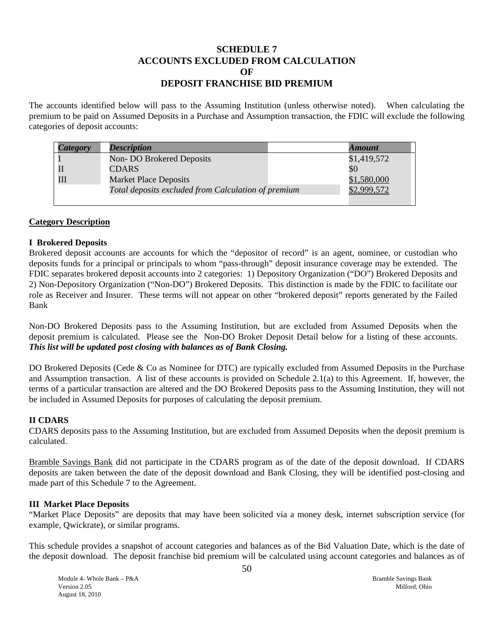#### **SCHEDULE 7 ACCOUNTS EXCLUDED FROM CALCULATION OF DEPOSIT FRANCHISE BID PREMIUM**

The accounts identified below will pass to the Assuming Institution (unless otherwise noted). When calculating the premium to be paid on Assumed Deposits in a Purchase and Assumption transaction, the FDIC will exclude the following categories of deposit accounts:

| <b>Category</b> | <b>Description</b>                                  | <b>Amount</b> |
|-----------------|-----------------------------------------------------|---------------|
|                 | Non-DO Brokered Deposits                            | \$1,419,572   |
|                 | <b>CDARS</b>                                        | \$0           |
|                 | <b>Market Place Deposits</b>                        | \$1,580,000   |
|                 | Total deposits excluded from Calculation of premium | .999.572      |
|                 |                                                     |               |

#### **Category Description**

#### **I Brokered Deposits**

Brokered deposit accounts are accounts for which the "depositor of record" is an agent, nominee, or custodian who deposits funds for a principal or principals to whom "pass-through" deposit insurance coverage may be extended. The FDIC separates brokered deposit accounts into 2 categories: 1) Depository Organization ("DO") Brokered Deposits and 2) Non-Depository Organization ("Non-DO") Brokered Deposits. This distinction is made by the FDIC to facilitate our role as Receiver and Insurer. These terms will not appear on other "brokered deposit" reports generated by the Failed Bank

 *This list will be updated post closing with balances as of Bank Closing.* Non-DO Brokered Deposits pass to the Assuming Institution, but are excluded from Assumed Deposits when the deposit premium is calculated. Please see the Non-DO Broker Deposit Detail below for a listing of these accounts.

DO Brokered Deposits (Cede & Co as Nominee for DTC) are typically excluded from Assumed Deposits in the Purchase and Assumption transaction. A list of these accounts is provided on Schedule 2.1(a) to this Agreement. If, however, the terms of a particular transaction are altered and the DO Brokered Deposits pass to the Assuming Institution, they will not be included in Assumed Deposits for purposes of calculating the deposit premium.

#### **II CDARS**

CDARS deposits pass to the Assuming Institution, but are excluded from Assumed Deposits when the deposit premium is calculated.

Bramble Savings Bank did not participate in the CDARS program as of the date of the deposit download. If CDARS deposits are taken between the date of the deposit download and Bank Closing, they will be identified post-closing and made part of this Schedule 7 to the Agreement.

#### **III Market Place Deposits**

"Market Place Deposits" are deposits that may have been solicited via a money desk, internet subscription service (for example, Qwickrate), or similar programs.

This schedule provides a snapshot of account categories and balances as of the Bid Valuation Date, which is the date of the deposit download. The deposit franchise bid premium will be calculated using account categories and balances as of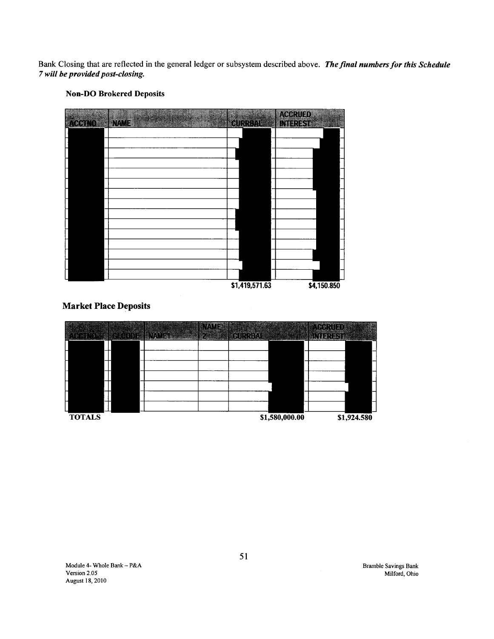Bank Closing that are reflected in the general ledger or subsystem described above. The final numbers for this Schedule 7 will be provided post-closing.

#### Non-DO Brokered Deposits



## Market Place Deposits

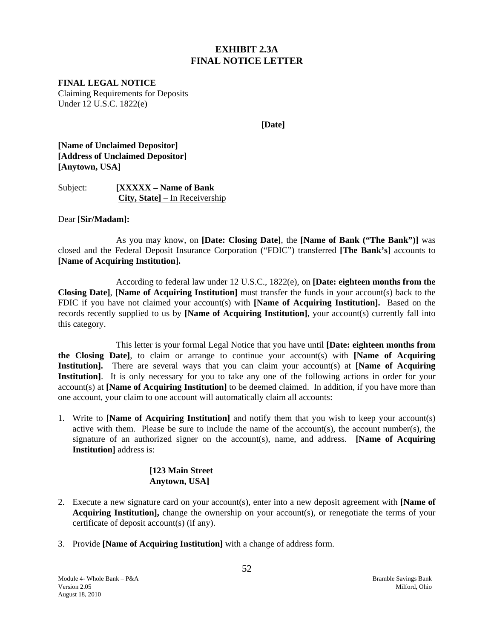## **EXHIBIT 2.3A FINAL NOTICE LETTER**

#### <span id="page-55-0"></span>**FINAL LEGAL NOTICE**

Claiming Requirements for Deposits Under 12 U.S.C. 1822(e)

**[Date]** 

**[Name of Unclaimed Depositor] [Address of Unclaimed Depositor] [Anytown, USA]** 

Subject: **[XXXXX – Name of Bank City, State]** – In Receivership

Dear **[Sir/Madam]:** 

As you may know, on **[Date: Closing Date]**, the **[Name of Bank ("The Bank")]** was closed and the Federal Deposit Insurance Corporation ("FDIC") transferred **[The Bank's]** accounts to **[Name of Acquiring Institution].** 

According to federal law under 12 U.S.C., 1822(e), on **[Date: eighteen months from the Closing Date]**, **[Name of Acquiring Institution]** must transfer the funds in your account(s) back to the FDIC if you have not claimed your account(s) with **[Name of Acquiring Institution].** Based on the records recently supplied to us by **[Name of Acquiring Institution]**, your account(s) currently fall into this category.

 **Institution].** There are several ways that you can claim your account(s) at **[Name of Acquiring Institution]**. It is only necessary for you to take any one of the following actions in order for your This letter is your formal Legal Notice that you have until **[Date: eighteen months from the Closing Date]**, to claim or arrange to continue your account(s) with **[Name of Acquiring**  account(s) at **[Name of Acquiring Institution]** to be deemed claimed. In addition, if you have more than one account, your claim to one account will automatically claim all accounts:

1. Write to **[Name of Acquiring Institution]** and notify them that you wish to keep your account(s) active with them. Please be sure to include the name of the account(s), the account number(s), the signature of an authorized signer on the account(s), name, and address. **[Name of Acquiring Institution]** address is:

#### **[123 Main Street Anytown, USA]**

- 2. Execute a new signature card on your account(s), enter into a new deposit agreement with **[Name of Acquiring Institution],** change the ownership on your account(s), or renegotiate the terms of your certificate of deposit account(s) (if any).
- 3. Provide **[Name of Acquiring Institution]** with a change of address form.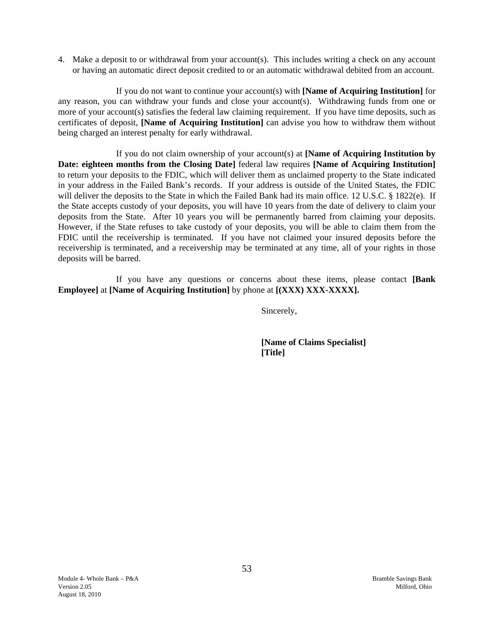4. Make a deposit to or withdrawal from your account(s). This includes writing a check on any account or having an automatic direct deposit credited to or an automatic withdrawal debited from an account.

If you do not want to continue your account(s) with **[Name of Acquiring Institution]** for any reason, you can withdraw your funds and close your account(s). Withdrawing funds from one or more of your account(s) satisfies the federal law claiming requirement. If you have time deposits, such as certificates of deposit, **[Name of Acquiring Institution]** can advise you how to withdraw them without being charged an interest penalty for early withdrawal.

 However, if the State refuses to take custody of your deposits, you will be able to claim them from the If you do not claim ownership of your account(s) at **[Name of Acquiring Institution by Date: eighteen months from the Closing Date]** federal law requires **[Name of Acquiring Institution]**  to return your deposits to the FDIC, which will deliver them as unclaimed property to the State indicated in your address in the Failed Bank's records. If your address is outside of the United States, the FDIC will deliver the deposits to the State in which the Failed Bank had its main office. 12 U.S.C. § 1822(e). If the State accepts custody of your deposits, you will have 10 years from the date of delivery to claim your deposits from the State. After 10 years you will be permanently barred from claiming your deposits. FDIC until the receivership is terminated. If you have not claimed your insured deposits before the receivership is terminated, and a receivership may be terminated at any time, all of your rights in those deposits will be barred.

If you have any questions or concerns about these items, please contact **[Bank Employee]** at **[Name of Acquiring Institution]** by phone at **[(XXX) XXX-XXXX].** 

Sincerely,

**[Name of Claims Specialist] [Title]**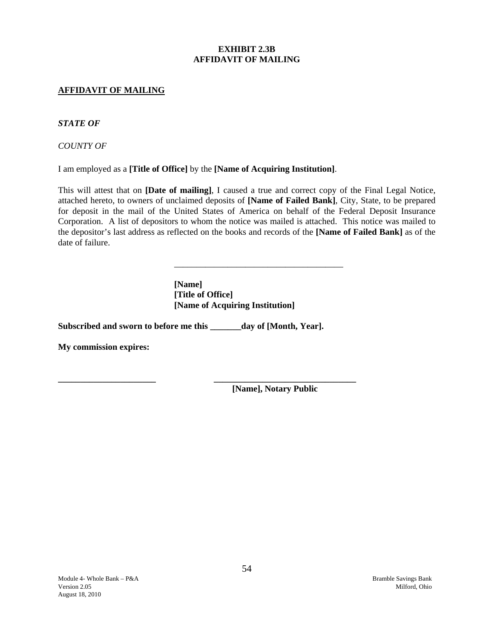#### **EXHIBIT 2.3B AFFIDAVIT OF MAILING**

#### <span id="page-57-0"></span>**AFFIDAVIT OF MAILING**

#### *STATE OF*

#### *COUNTY OF*

I am employed as a **[Title of Office]** by the **[Name of Acquiring Institution]**.

This will attest that on **[Date of mailing]**, I caused a true and correct copy of the Final Legal Notice, attached hereto, to owners of unclaimed deposits of **[Name of Failed Bank]**, City, State, to be prepared for deposit in the mail of the United States of America on behalf of the Federal Deposit Insurance Corporation. A list of depositors to whom the notice was mailed is attached. This notice was mailed to the depositor's last address as reflected on the books and records of the **[Name of Failed Bank]** as of the date of failure.

> **[Name] [Title of Office] [Name of Acquiring Institution]**

**Subscribed and sworn to before me this \_\_\_\_\_\_\_day of [Month, Year].** 

**\_\_\_\_\_\_\_\_\_\_\_\_\_\_\_\_\_\_\_\_\_\_ \_\_\_\_\_\_\_\_\_\_\_\_\_\_\_\_\_\_\_\_\_\_\_\_\_\_\_\_\_\_\_\_** 

 $\overline{\phantom{a}}$  ,  $\overline{\phantom{a}}$  ,  $\overline{\phantom{a}}$  ,  $\overline{\phantom{a}}$  ,  $\overline{\phantom{a}}$  ,  $\overline{\phantom{a}}$  ,  $\overline{\phantom{a}}$  ,  $\overline{\phantom{a}}$  ,  $\overline{\phantom{a}}$  ,  $\overline{\phantom{a}}$  ,  $\overline{\phantom{a}}$  ,  $\overline{\phantom{a}}$  ,  $\overline{\phantom{a}}$  ,  $\overline{\phantom{a}}$  ,  $\overline{\phantom{a}}$  ,  $\overline{\phantom{a}}$ 

**My commission expires:** 

 **[Name], Notary Public**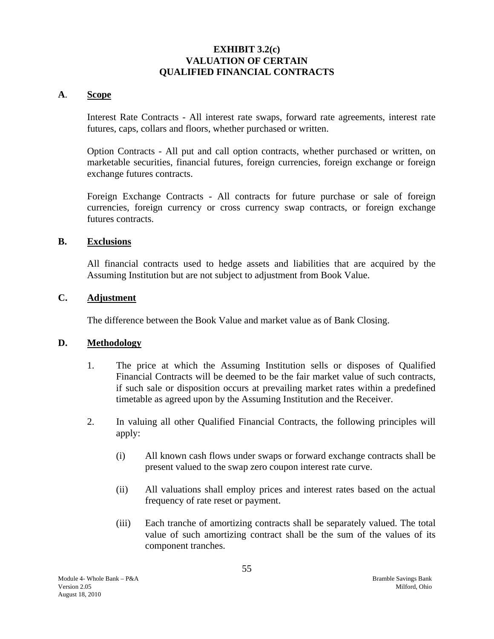## **EXHIBIT 3.2(c) VALUATION OF CERTAIN QUALIFIED FINANCIAL CONTRACTS**

#### <span id="page-58-0"></span>**A**. **Scope**

Interest Rate Contracts - All interest rate swaps, forward rate agreements, interest rate futures, caps, collars and floors, whether purchased or written.

Option Contracts - All put and call option contracts, whether purchased or written, on marketable securities, financial futures, foreign currencies, foreign exchange or foreign exchange futures contracts.

Foreign Exchange Contracts - All contracts for future purchase or sale of foreign currencies, foreign currency or cross currency swap contracts, or foreign exchange futures contracts.

#### **B. Exclusions**

All financial contracts used to hedge assets and liabilities that are acquired by the Assuming Institution but are not subject to adjustment from Book Value.

#### **C. Adjustment**

The difference between the Book Value and market value as of Bank Closing.

#### **D. Methodology**

- 1. The price at which the Assuming Institution sells or disposes of Qualified Financial Contracts will be deemed to be the fair market value of such contracts, if such sale or disposition occurs at prevailing market rates within a predefined timetable as agreed upon by the Assuming Institution and the Receiver.
- 2. In valuing all other Qualified Financial Contracts, the following principles will apply:
	- (i) All known cash flows under swaps or forward exchange contracts shall be present valued to the swap zero coupon interest rate curve.
	- (ii) All valuations shall employ prices and interest rates based on the actual frequency of rate reset or payment.
	- (iii) Each tranche of amortizing contracts shall be separately valued. The total value of such amortizing contract shall be the sum of the values of its component tranches.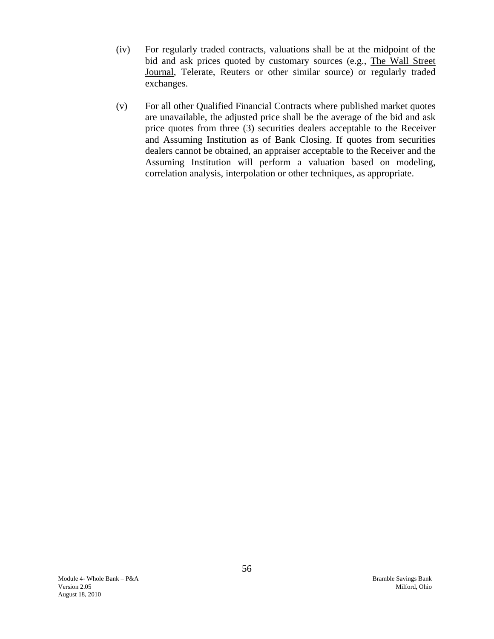- (iv) For regularly traded contracts, valuations shall be at the midpoint of the bid and ask prices quoted by customary sources (e.g., The Wall Street Journal, Telerate, Reuters or other similar source) or regularly traded exchanges.
- (v) For all other Qualified Financial Contracts where published market quotes are unavailable, the adjusted price shall be the average of the bid and ask price quotes from three (3) securities dealers acceptable to the Receiver and Assuming Institution as of Bank Closing. If quotes from securities dealers cannot be obtained, an appraiser acceptable to the Receiver and the Assuming Institution will perform a valuation based on modeling, correlation analysis, interpolation or other techniques, as appropriate.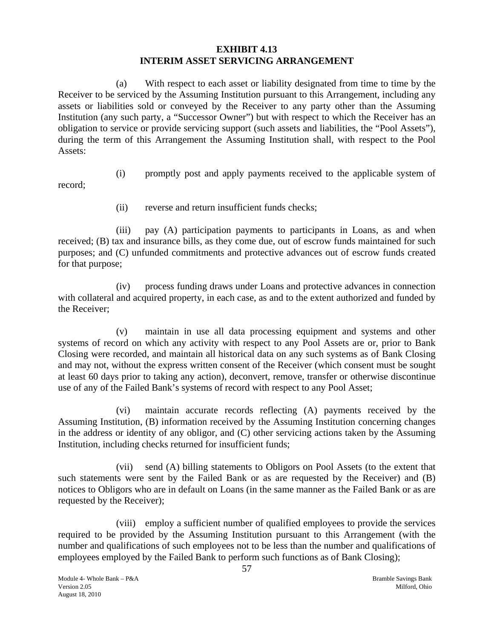#### **EXHIBIT 4.13 INTERIM ASSET SERVICING ARRANGEMENT**

(a) With respect to each asset or liability designated from time to time by the Receiver to be serviced by the Assuming Institution pursuant to this Arrangement, including any assets or liabilities sold or conveyed by the Receiver to any party other than the Assuming Institution (any such party, a "Successor Owner") but with respect to which the Receiver has an obligation to service or provide servicing support (such assets and liabilities, the "Pool Assets"), during the term of this Arrangement the Assuming Institution shall, with respect to the Pool Assets:

record;

- (i) promptly post and apply payments received to the applicable system of
- (ii) reverse and return insufficient funds checks;

(iii) pay (A) participation payments to participants in Loans, as and when received; (B) tax and insurance bills, as they come due, out of escrow funds maintained for such purposes; and (C) unfunded commitments and protective advances out of escrow funds created for that purpose;

(iv) process funding draws under Loans and protective advances in connection with collateral and acquired property, in each case, as and to the extent authorized and funded by the Receiver;

(v) maintain in use all data processing equipment and systems and other systems of record on which any activity with respect to any Pool Assets are or, prior to Bank Closing were recorded, and maintain all historical data on any such systems as of Bank Closing and may not, without the express written consent of the Receiver (which consent must be sought at least 60 days prior to taking any action), deconvert, remove, transfer or otherwise discontinue use of any of the Failed Bank's systems of record with respect to any Pool Asset;

(vi) maintain accurate records reflecting (A) payments received by the Assuming Institution, (B) information received by the Assuming Institution concerning changes in the address or identity of any obligor, and (C) other servicing actions taken by the Assuming Institution, including checks returned for insufficient funds;

(vii) send (A) billing statements to Obligors on Pool Assets (to the extent that such statements were sent by the Failed Bank or as are requested by the Receiver) and (B) notices to Obligors who are in default on Loans (in the same manner as the Failed Bank or as are requested by the Receiver);

(viii) employ a sufficient number of qualified employees to provide the services required to be provided by the Assuming Institution pursuant to this Arrangement (with the number and qualifications of such employees not to be less than the number and qualifications of employees employed by the Failed Bank to perform such functions as of Bank Closing);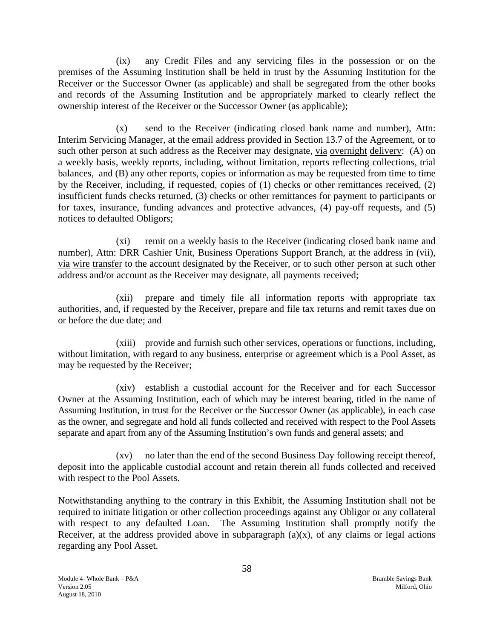(ix) any Credit Files and any servicing files in the possession or on the premises of the Assuming Institution shall be held in trust by the Assuming Institution for the Receiver or the Successor Owner (as applicable) and shall be segregated from the other books and records of the Assuming Institution and be appropriately marked to clearly reflect the ownership interest of the Receiver or the Successor Owner (as applicable);

(x) send to the Receiver (indicating closed bank name and number), Attn: Interim Servicing Manager, at the email address provided in Section 13.7 of the Agreement, or to such other person at such address as the Receiver may designate, via overnight delivery: (A) on a weekly basis, weekly reports, including, without limitation, reports reflecting collections, trial balances, and (B) any other reports, copies or information as may be requested from time to time by the Receiver, including, if requested, copies of (1) checks or other remittances received, (2) insufficient funds checks returned, (3) checks or other remittances for payment to participants or for taxes, insurance, funding advances and protective advances, (4) pay-off requests, and (5) notices to defaulted Obligors;

(xi) remit on a weekly basis to the Receiver (indicating closed bank name and number), Attn: DRR Cashier Unit, Business Operations Support Branch, at the address in (vii), via wire transfer to the account designated by the Receiver, or to such other person at such other address and/or account as the Receiver may designate, all payments received;

(xii) prepare and timely file all information reports with appropriate tax authorities, and, if requested by the Receiver, prepare and file tax returns and remit taxes due on or before the due date; and

(xiii) provide and furnish such other services, operations or functions, including, without limitation, with regard to any business, enterprise or agreement which is a Pool Asset, as may be requested by the Receiver;

 Owner at the Assuming Institution, each of which may be interest bearing, titled in the name of separate and apart from any of the Assuming Institution's own funds and general assets; and (xiv) establish a custodial account for the Receiver and for each Successor Assuming Institution, in trust for the Receiver or the Successor Owner (as applicable), in each case as the owner, and segregate and hold all funds collected and received with respect to the Pool Assets

(xv) no later than the end of the second Business Day following receipt thereof, deposit into the applicable custodial account and retain therein all funds collected and received with respect to the Pool Assets.

Notwithstanding anything to the contrary in this Exhibit, the Assuming Institution shall not be required to initiate litigation or other collection proceedings against any Obligor or any collateral with respect to any defaulted Loan. The Assuming Institution shall promptly notify the Receiver, at the address provided above in subparagraph  $(a)(x)$ , of any claims or legal actions regarding any Pool Asset.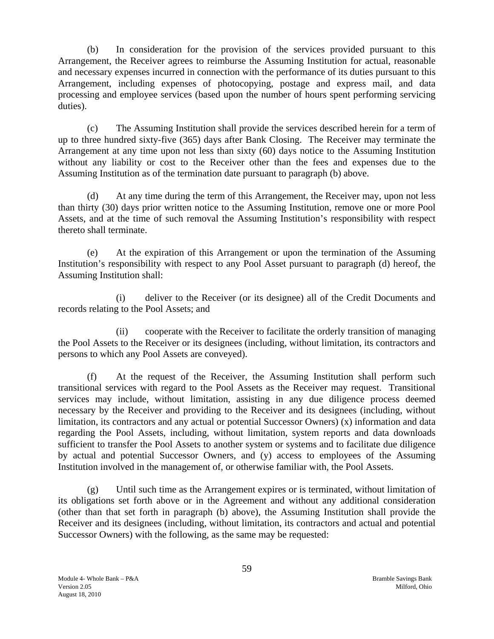(b) In consideration for the provision of the services provided pursuant to this Arrangement, the Receiver agrees to reimburse the Assuming Institution for actual, reasonable and necessary expenses incurred in connection with the performance of its duties pursuant to this Arrangement, including expenses of photocopying, postage and express mail, and data processing and employee services (based upon the number of hours spent performing servicing duties).

(c) The Assuming Institution shall provide the services described herein for a term of up to three hundred sixty-five (365) days after Bank Closing. The Receiver may terminate the Arrangement at any time upon not less than sixty (60) days notice to the Assuming Institution without any liability or cost to the Receiver other than the fees and expenses due to the Assuming Institution as of the termination date pursuant to paragraph (b) above.

(d) At any time during the term of this Arrangement, the Receiver may, upon not less than thirty (30) days prior written notice to the Assuming Institution, remove one or more Pool Assets, and at the time of such removal the Assuming Institution's responsibility with respect thereto shall terminate.

(e) At the expiration of this Arrangement or upon the termination of the Assuming Institution's responsibility with respect to any Pool Asset pursuant to paragraph (d) hereof, the Assuming Institution shall:

(i) deliver to the Receiver (or its designee) all of the Credit Documents and records relating to the Pool Assets; and

(ii) cooperate with the Receiver to facilitate the orderly transition of managing the Pool Assets to the Receiver or its designees (including, without limitation, its contractors and persons to which any Pool Assets are conveyed).

(f) At the request of the Receiver, the Assuming Institution shall perform such transitional services with regard to the Pool Assets as the Receiver may request. Transitional services may include, without limitation, assisting in any due diligence process deemed necessary by the Receiver and providing to the Receiver and its designees (including, without limitation, its contractors and any actual or potential Successor Owners) (x) information and data regarding the Pool Assets, including, without limitation, system reports and data downloads sufficient to transfer the Pool Assets to another system or systems and to facilitate due diligence by actual and potential Successor Owners, and (y) access to employees of the Assuming Institution involved in the management of, or otherwise familiar with, the Pool Assets.

(g) Until such time as the Arrangement expires or is terminated, without limitation of its obligations set forth above or in the Agreement and without any additional consideration (other than that set forth in paragraph (b) above), the Assuming Institution shall provide the Receiver and its designees (including, without limitation, its contractors and actual and potential Successor Owners) with the following, as the same may be requested: